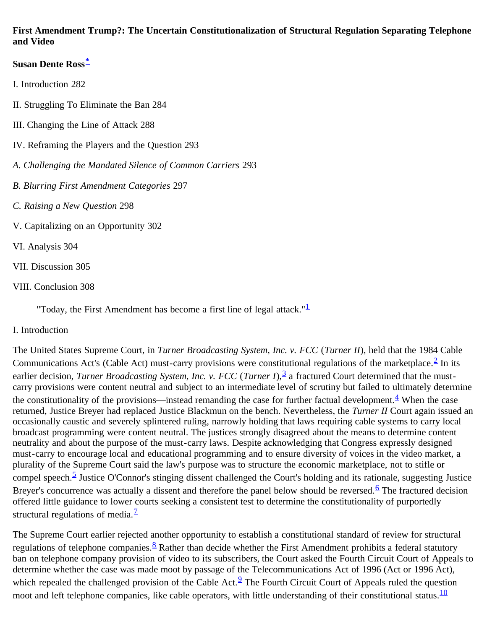### **First Amendment Trump?: The Uncertain Constitutionalization of Structural Regulation Separating Telephone and Video**

### **Susan Dente Ross[\\*](#page-9-0)**

- I. Introduction 282
- II. Struggling To Eliminate the Ban 284
- III. Changing the Line of Attack 288
- IV. Reframing the Players and the Question 293
- *A. Challenging the Mandated Silence of Common Carriers* 293
- *B. Blurring First Amendment Categories* 297
- *C. Raising a New Question* 298
- V. Capitalizing on an Opportunity 302
- VI. Analysis 304
- VII. Discussion 305
- VIII. Conclusion 308

"Today, the First Amendment has become a first line of legal attack." $\frac{1}{\sqrt{2}}$  $\frac{1}{\sqrt{2}}$  $\frac{1}{\sqrt{2}}$ 

I*.* Introduction

The United States Supreme Court, in *Turner Broadcasting System, Inc. v. FCC* (*Turner II*), held that the 1984 Cable Communications Act's (Cable Act) must-carry provisions were constitutional regulations of the marketplace.<sup>2</sup> In its earlier decision, *Turner Broadcasting System, Inc. v. FCC* (*Turner I*),<sup>[3](#page-9-3)</sup> a fractured Court determined that the mustcarry provisions were content neutral and subject to an intermediate level of scrutiny but failed to ultimately determine the constitutionality of the provisions—instead remanding the case for further factual development. <sup>[4](#page-9-4)</sup> When the case returned, Justice Breyer had replaced Justice Blackmun on the bench. Nevertheless, the *Turner II* Court again issued an occasionally caustic and severely splintered ruling, narrowly holding that laws requiring cable systems to carry local broadcast programming were content neutral. The justices strongly disagreed about the means to determine content neutrality and about the purpose of the must-carry laws. Despite acknowledging that Congress expressly designed must-carry to encourage local and educational programming and to ensure diversity of voices in the video market, a plurality of the Supreme Court said the law's purpose was to structure the economic marketplace, not to stifle or compel speech.<sup>[5](#page-9-5)</sup> Justice O'Connor's stinging dissent challenged the Court's holding and its rationale, suggesting Justice Breyer's concurrence was actually a dissent and therefore the panel below should be reversed.<sup>[6](#page-9-6)</sup> The fractured decision offered little guidance to lower courts seeking a consistent test to determine the constitutionality of purportedly structural regulations of media. $\frac{7}{2}$  $\frac{7}{2}$  $\frac{7}{2}$ 

The Supreme Court earlier rejected another opportunity to establish a constitutional standard of review for structural regulations of telephone companies.  $\frac{8}{3}$  Rather than decide whether the First Amendment prohibits a federal statutory ban on telephone company provision of video to its subscribers, the Court asked the Fourth Circuit Court of Appeals to determine whether the case was made moot by passage of the Telecommunications Act of 1996 (Act or 1996 Act), which repealed the challenged provision of the Cable Act. $\frac{9}{2}$  The Fourth Circuit Court of Appeals ruled the question moot and left telephone companies, like cable operators, with little understanding of their constitutional status.  $\frac{10}{10}$  $\frac{10}{10}$  $\frac{10}{10}$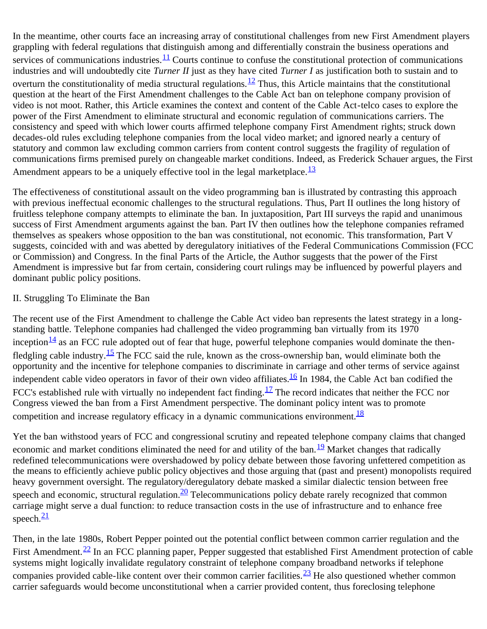In the meantime, other courts face an increasing array of constitutional challenges from new First Amendment players grappling with federal regulations that distinguish among and differentially constrain the business operations and services of communications industries. $11$  Courts continue to confuse the constitutional protection of communications industries and will undoubtedly cite *Turner II* just as they have cited *Turner I* as justification both to sustain and to overturn the constitutionality of media structural regulations.<sup>12</sup> Thus, this Article maintains that the constitutional question at the heart of the First Amendment challenges to the Cable Act ban on telephone company provision of video is not moot. Rather, this Article examines the context and content of the Cable Act-telco cases to explore the power of the First Amendment to eliminate structural and economic regulation of communications carriers. The consistency and speed with which lower courts affirmed telephone company First Amendment rights; struck down decades-old rules excluding telephone companies from the local video market; and ignored nearly a century of statutory and common law excluding common carriers from content control suggests the fragility of regulation of communications firms premised purely on changeable market conditions. Indeed, as Frederick Schauer argues, the First Amendment appears to be a uniquely effective tool in the legal marketplace.<sup>[13](#page-10-2)</sup>

The effectiveness of constitutional assault on the video programming ban is illustrated by contrasting this approach with previous ineffectual economic challenges to the structural regulations. Thus, Part II outlines the long history of fruitless telephone company attempts to eliminate the ban. In juxtaposition, Part III surveys the rapid and unanimous success of First Amendment arguments against the ban. Part IV then outlines how the telephone companies reframed themselves as speakers whose opposition to the ban was constitutional, not economic. This transformation, Part V suggests, coincided with and was abetted by deregulatory initiatives of the Federal Communications Commission (FCC or Commission) and Congress. In the final Parts of the Article, the Author suggests that the power of the First Amendment is impressive but far from certain, considering court rulings may be influenced by powerful players and dominant public policy positions.

#### II. Struggling To Eliminate the Ban

The recent use of the First Amendment to challenge the Cable Act video ban represents the latest strategy in a longstanding battle. Telephone companies had challenged the video programming ban virtually from its 1970 inception $\frac{14}{1}$  as an FCC rule adopted out of fear that huge, powerful telephone companies would dominate the thenfledgling cable industry.<sup>15</sup> The FCC said the rule, known as the cross-ownership ban, would eliminate both the opportunity and the incentive for telephone companies to discriminate in carriage and other terms of service against independent cable video operators in favor of their own video affiliates.  $\frac{16}{10}$  In 1984, the Cable Act ban codified the FCC's established rule with virtually no independent fact finding.<sup>[17](#page-10-6)</sup> The record indicates that neither the FCC nor Congress viewed the ban from a First Amendment perspective. The dominant policy intent was to promote competition and increase regulatory efficacy in a dynamic communications environment.  $\frac{18}{18}$  $\frac{18}{18}$  $\frac{18}{18}$ 

Yet the ban withstood years of FCC and congressional scrutiny and repeated telephone company claims that changed economic and market conditions eliminated the need for and utility of the ban.<sup>19</sup> Market changes that radically redefined telecommunications were overshadowed by policy debate between those favoring unfettered competition as the means to efficiently achieve public policy objectives and those arguing that (past and present) monopolists required heavy government oversight. The regulatory/deregulatory debate masked a similar dialectic tension between free speech and economic, structural regulation.<sup>20</sup> Telecommunications policy debate rarely recognized that common carriage might serve a dual function: to reduce transaction costs in the use of infrastructure and to enhance free speech. $\frac{21}{2}$  $\frac{21}{2}$  $\frac{21}{2}$ 

Then, in the late 1980s, Robert Pepper pointed out the potential conflict between common carrier regulation and the First Amendment.<sup>22</sup> In an FCC planning paper, Pepper suggested that established First Amendment protection of cable systems might logically invalidate regulatory constraint of telephone company broadband networks if telephone companies provided cable-like content over their common carrier facilities.  $\frac{23}{10}$  $\frac{23}{10}$  $\frac{23}{10}$  He also questioned whether common carrier safeguards would become unconstitutional when a carrier provided content, thus foreclosing telephone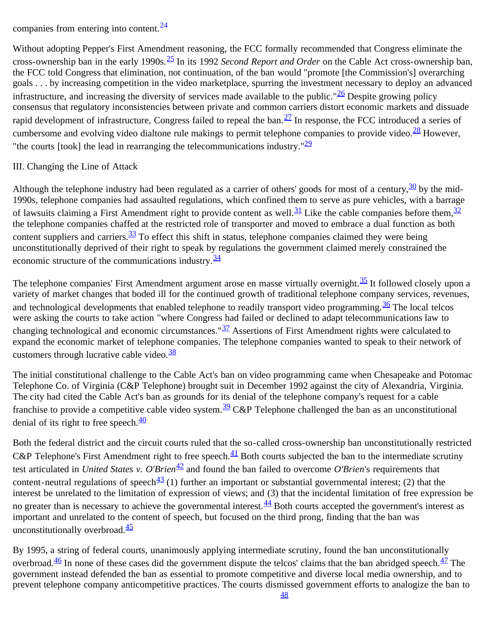companies from entering into content.[24](#page-11-5)

Without adopting Pepper's First Amendment reasoning, the FCC formally recommended that Congress eliminate the cross-ownership ban in the early 1990s.[25](#page-11-6) In its 1992 *Second Report and Order* on the Cable Act cross-ownership ban, the FCC told Congress that elimination, not continuation, of the ban would "promote [the Commission's] overarching goals . . . by increasing competition in the video marketplace, spurring the investment necessary to deploy an advanced infrastructure, and increasing the diversity of services made available to the public." $\frac{26}{120}$  Despite growing policy consensus that regulatory inconsistencies between private and common carriers distort economic markets and dissuade rapid development of infrastructure, Congress failed to repeal the ban. $\frac{27}{10}$  $\frac{27}{10}$  $\frac{27}{10}$  In response, the FCC introduced a series of cumbersome and evolving video dialtone rule makings to permit telephone companies to provide video.<sup>[28](#page-12-2)</sup> However, "the courts [took] the lead in rearranging the telecommunications industry." $\frac{29}{2}$  $\frac{29}{2}$  $\frac{29}{2}$ 

#### III. Changing the Line of Attack

Although the telephone industry had been regulated as a carrier of others' goods for most of a century,  $\frac{30}{30}$  by the mid-1990s, telephone companies had assaulted regulations, which confined them to serve as pure vehicles, with a barrage of lawsuits claiming a First Amendment right to provide content as well.<sup>31</sup> Like the cable companies before them,<sup>32</sup> the telephone companies chaffed at the restricted role of transporter and moved to embrace a dual function as both content suppliers and carriers.<sup>33</sup> To effect this shift in status, telephone companies claimed they were being unconstitutionally deprived of their right to speak by regulations the government claimed merely constrained the economic structure of the communications industry. $\frac{34}{3}$  $\frac{34}{3}$  $\frac{34}{3}$ 

The telephone companies' First Amendment argument arose en masse virtually overnight.<sup>35</sup> It followed closely upon a variety of market changes that boded ill for the continued growth of traditional telephone company services, revenues, and technological developments that enabled telephone to readily transport video programming.  $\frac{36}{10}$  The local telcos were asking the courts to take action "where Congress had failed or declined to adapt telecommunications law to changing technological and economic circumstances." $\frac{37}{27}$  $\frac{37}{27}$  $\frac{37}{27}$  Assertions of First Amendment rights were calculated to expand the economic market of telephone companies. The telephone companies wanted to speak to their network of customers through lucrative cable video.<sup>[38](#page-13-3)</sup>

The initial constitutional challenge to the Cable Act's ban on video programming came when Chesapeake and Potomac Telephone Co. of Virginia (C&P Telephone) brought suit in December 1992 against the city of Alexandria, Virginia. The city had cited the Cable Act's ban as grounds for its denial of the telephone company's request for a cable franchise to provide a competitive cable video system.<sup>39</sup> C&P Telephone challenged the ban as an unconstitutional denial of its right to free speech. $\frac{40}{3}$ 

Both the federal district and the circuit courts ruled that the so-called cross-ownership ban unconstitutionally restricted C&P Telephone's First Amendment right to free speech.<sup>41</sup> Both courts subjected the ban to the intermediate scrutiny test articulated in *United States v. O'Brien*<sup>42</sup> and found the ban failed to overcome *O'Brien's* requirements that content-neutral regulations of speech<sup>43</sup> (1) further an important or substantial governmental interest; (2) that the interest be unrelated to the limitation of expression of views; and (3) that the incidental limitation of free expression be no greater than is necessary to achieve the governmental interest.  $\frac{44}{3}$  Both courts accepted the government's interest as important and unrelated to the content of speech, but focused on the third prong, finding that the ban was unconstitutionally overbroad. $\frac{45}{5}$  $\frac{45}{5}$  $\frac{45}{5}$ 

By 1995, a string of federal courts, unanimously applying intermediate scrutiny, found the ban unconstitutionally overbroad. $\frac{46}{5}$  In none of these cases did the government dispute the telcos' claims that the ban abridged speech. $\frac{47}{5}$  The government instead defended the ban as essential to promote competitive and diverse local media ownership, and to prevent telephone company anticompetitive practices. The courts dismissed government efforts to analogize the ban to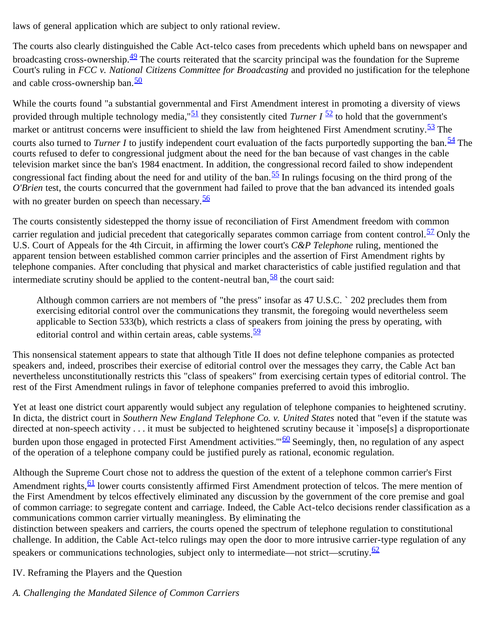laws of general application which are subject to only rational review.

The courts also clearly distinguished the Cable Act-telco cases from precedents which upheld bans on newspaper and broadcasting cross-ownership. $\frac{49}{2}$  The courts reiterated that the scarcity principal was the foundation for the Supreme Court's ruling in *FCC v. National Citizens Committee for Broadcasting* and provided no justification for the telephone and cable cross-ownership ban.<sup>[50](#page-14-1)</sup>

While the courts found "a substantial governmental and First Amendment interest in promoting a diversity of views provided through multiple technology media,"[51](#page-14-2) they consistently cited *Turner I* [52](#page-14-3) to hold that the government's market or antitrust concerns were insufficient to shield the law from heightened First Amendment scrutiny.<sup>[53](#page-14-4)</sup> The courts also turned to *Turner I* to justify independent court evaluation of the facts purportedly supporting the ban.<sup>54</sup> The courts refused to defer to congressional judgment about the need for the ban because of vast changes in the cable television market since the ban's 1984 enactment. In addition, the congressional record failed to show independent congressional fact finding about the need for and utility of the ban.<sup>55</sup> In rulings focusing on the third prong of the *O'Brien* test, the courts concurred that the government had failed to prove that the ban advanced its intended goals with no greater burden on speech than necessary.  $\frac{56}{56}$  $\frac{56}{56}$  $\frac{56}{56}$ 

The courts consistently sidestepped the thorny issue of reconciliation of First Amendment freedom with common carrier regulation and judicial precedent that categorically separates common carriage from content control.<sup>57</sup> Only the U.S. Court of Appeals for the 4th Circuit, in affirming the lower court's *C&P Telephone* ruling, mentioned the apparent tension between established common carrier principles and the assertion of First Amendment rights by telephone companies. After concluding that physical and market characteristics of cable justified regulation and that intermediate scrutiny should be applied to the content-neutral ban,  $\frac{58}{2}$  $\frac{58}{2}$  $\frac{58}{2}$  the court said:

Although common carriers are not members of "the press" insofar as 47 U.S.C. ` 202 precludes them from exercising editorial control over the communications they transmit, the foregoing would nevertheless seem applicable to Section 533(b), which restricts a class of speakers from joining the press by operating, with editorial control and within certain areas, cable systems. $\frac{59}{59}$  $\frac{59}{59}$  $\frac{59}{59}$ 

This nonsensical statement appears to state that although Title II does not define telephone companies as protected speakers and, indeed, proscribes their exercise of editorial control over the messages they carry, the Cable Act ban nevertheless unconstitutionally restricts this "class of speakers" from exercising certain types of editorial control. The rest of the First Amendment rulings in favor of telephone companies preferred to avoid this imbroglio.

Yet at least one district court apparently would subject any regulation of telephone companies to heightened scrutiny. In dicta, the district court in *Southern New England Telephone Co. v. United States* noted that "even if the statute was directed at non-speech activity . . . it must be subjected to heightened scrutiny because it `impose[s] a disproportionate burden upon those engaged in protected First Amendment activities."<sup>60</sup> Seemingly, then, no regulation of any aspect of the operation of a telephone company could be justified purely as rational, economic regulation.

Although the Supreme Court chose not to address the question of the extent of a telephone common carrier's First Amendment rights, <sup>61</sup> lower courts consistently affirmed First Amendment protection of telcos. The mere mention of the First Amendment by telcos effectively eliminated any discussion by the government of the core premise and goal of common carriage: to segregate content and carriage. Indeed, the Cable Act-telco decisions render classification as a communications common carrier virtually meaningless. By eliminating the

distinction between speakers and carriers, the courts opened the spectrum of telephone regulation to constitutional challenge. In addition, the Cable Act-telco rulings may open the door to more intrusive carrier-type regulation of any speakers or communications technologies, subject only to intermediate—not strict—scrutiny. $\frac{62}{62}$  $\frac{62}{62}$  $\frac{62}{62}$ 

# IV. Reframing the Players and the Question

*A. Challenging the Mandated Silence of Common Carriers*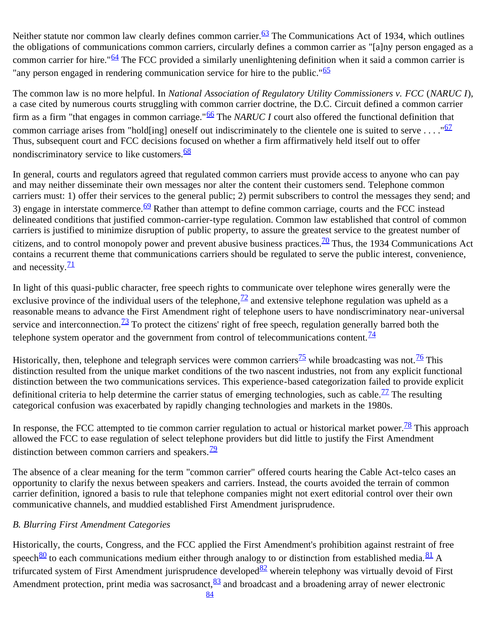Neither statute nor common law clearly defines common carrier. $\frac{63}{2}$  The Communications Act of 1934, which outlines the obligations of communications common carriers, circularly defines a common carrier as "[a]ny person engaged as a common carrier for hire."<sup>64</sup> The FCC provided a similarly unenlightening definition when it said a common carrier is "any person engaged in rendering communication service for hire to the public."<sup>[65](#page-15-1)</sup>

The common law is no more helpful. In *National Association of Regulatory Utility Commissioners v. FCC* (*NARUC I*), a case cited by numerous courts struggling with common carrier doctrine, the D.C. Circuit defined a common carrier firm as a firm "that engages in common carriage."[66](#page-15-2) The *NARUC I* court also offered the functional definition that common carriage arises from "hold[ing] oneself out indiscriminately to the clientele one is suited to serve ...."<sup>[67](#page-15-3)</sup> Thus, subsequent court and FCC decisions focused on whether a firm affirmatively held itself out to offer nondiscriminatory service to like customers. $\frac{68}{68}$  $\frac{68}{68}$  $\frac{68}{68}$ 

In general, courts and regulators agreed that regulated common carriers must provide access to anyone who can pay and may neither disseminate their own messages nor alter the content their customers send. Telephone common carriers must: 1) offer their services to the general public; 2) permit subscribers to control the messages they send; and 3) engage in interstate commerce.<sup>[69](#page-15-5)</sup> Rather than attempt to define common carriage, courts and the FCC instead delineated conditions that justified common-carrier-type regulation. Common law established that control of common carriers is justified to minimize disruption of public property, to assure the greatest service to the greatest number of citizens, and to control monopoly power and prevent abusive business practices.  $\frac{70}{10}$  Thus, the 1934 Communications Act contains a recurrent theme that communications carriers should be regulated to serve the public interest, convenience, and necessity. $\frac{71}{2}$  $\frac{71}{2}$  $\frac{71}{2}$ 

In light of this quasi-public character, free speech rights to communicate over telephone wires generally were the exclusive province of the individual users of the telephone,  $\frac{72}{2}$  and extensive telephone regulation was upheld as a reasonable means to advance the First Amendment right of telephone users to have nondiscriminatory near-universal service and interconnection.<sup>73</sup> To protect the citizens' right of free speech, regulation generally barred both the telephone system operator and the government from control of telecommunications content. $\frac{74}{4}$  $\frac{74}{4}$  $\frac{74}{4}$ 

Historically, then, telephone and telegraph services were common carriers<sup>[75](#page-15-11)</sup> while broadcasting was not.<sup>76</sup> This distinction resulted from the unique market conditions of the two nascent industries, not from any explicit functional distinction between the two communications services. This experience-based categorization failed to provide explicit definitional criteria to help determine the carrier status of emerging technologies, such as cable.<sup>77</sup> The resulting categorical confusion was exacerbated by rapidly changing technologies and markets in the 1980s.

In response, the FCC attempted to tie common carrier regulation to actual or historical market power.<sup>78</sup> This approach allowed the FCC to ease regulation of select telephone providers but did little to justify the First Amendment distinction between common carriers and speakers. $\frac{79}{2}$  $\frac{79}{2}$  $\frac{79}{2}$ 

The absence of a clear meaning for the term "common carrier" offered courts hearing the Cable Act-telco cases an opportunity to clarify the nexus between speakers and carriers. Instead, the courts avoided the terrain of common carrier definition, ignored a basis to rule that telephone companies might not exert editorial control over their own communicative channels, and muddied established First Amendment jurisprudence.

# *B. Blurring First Amendment Categories*

Historically, the courts, Congress, and the FCC applied the First Amendment's prohibition against restraint of free speech $\frac{80}{1}$  to each communications medium either through analogy to or distinction from established media. $\frac{81}{1}$  A trifurcated system of First Amendment jurisprudence developed $\frac{82}{2}$  wherein telephony was virtually devoid of First Amendment protection, print media was sacrosanct,  $\frac{83}{2}$  and broadcast and a broadening array of newer electronic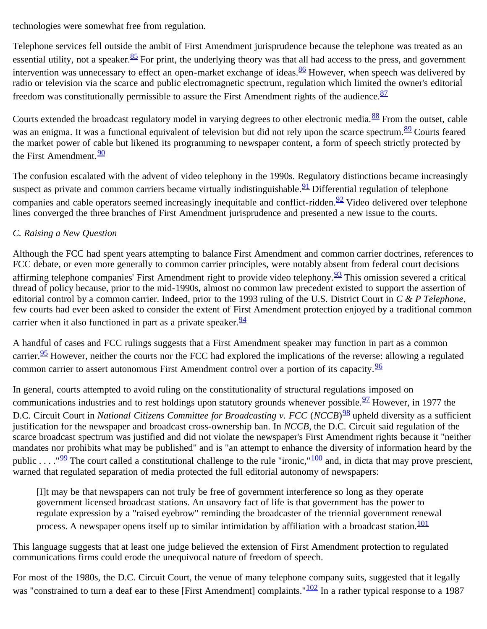technologies were somewhat free from regulation.

Telephone services fell outside the ambit of First Amendment jurisprudence because the telephone was treated as an essential utility, not a speaker.<sup>85</sup> For print, the underlying theory was that all had access to the press, and government intervention was unnecessary to effect an open-market exchange of ideas. $\frac{86}{5}$  $\frac{86}{5}$  $\frac{86}{5}$  However, when speech was delivered by radio or television via the scarce and public electromagnetic spectrum, regulation which limited the owner's editorial freedom was constitutionally permissible to assure the First Amendment rights of the audience.  $\frac{87}{8}$  $\frac{87}{8}$  $\frac{87}{8}$ 

Courts extended the broadcast regulatory model in varying degrees to other electronic media.<sup>88</sup> From the outset, cable was an enigma. It was a functional equivalent of television but did not rely upon the scarce spectrum.<sup>89</sup> Courts feared the market power of cable but likened its programming to newspaper content, a form of speech strictly protected by the First Amendment.<sup>[90](#page-17-6)</sup>

The confusion escalated with the advent of video telephony in the 1990s. Regulatory distinctions became increasingly suspect as private and common carriers became virtually indistinguishable.  $\frac{91}{1}$  Differential regulation of telephone companies and cable operators seemed increasingly inequitable and conflict-ridden. $\frac{92}{2}$  Video delivered over telephone lines converged the three branches of First Amendment jurisprudence and presented a new issue to the courts.

# *C. Raising a New Question*

Although the FCC had spent years attempting to balance First Amendment and common carrier doctrines, references to FCC debate, or even more generally to common carrier principles, were notably absent from federal court decisions affirming telephone companies' First Amendment right to provide video telephony.  $\frac{93}{3}$  $\frac{93}{3}$  $\frac{93}{3}$  This omission severed a critical thread of policy because, prior to the mid-1990s, almost no common law precedent existed to support the assertion of editorial control by a common carrier. Indeed, prior to the 1993 ruling of the U.S. District Court in *C & P Telephone*, few courts had ever been asked to consider the extent of First Amendment protection enjoyed by a traditional common carrier when it also functioned in part as a private speaker.  $\frac{94}{94}$  $\frac{94}{94}$  $\frac{94}{94}$ 

A handful of cases and FCC rulings suggests that a First Amendment speaker may function in part as a common carrier.<sup>95</sup> However, neither the courts nor the FCC had explored the implications of the reverse: allowing a regulated common carrier to assert autonomous First Amendment control over a portion of its capacity.<sup>[96](#page-18-0)</sup>

In general, courts attempted to avoid ruling on the constitutionality of structural regulations imposed on communications industries and to rest holdings upon statutory grounds whenever possible.  $\frac{97}{2}$  However, in 1977 the D.C. Circuit Court in *National Citizens Committee for Broadcasting v. FCC* (*NCCB*)<sup>98</sup> upheld diversity as a sufficient justification for the newspaper and broadcast cross-ownership ban. In *NCCB*, the D.C. Circuit said regulation of the scarce broadcast spectrum was justified and did not violate the newspaper's First Amendment rights because it "neither mandates nor prohibits what may be published" and is "an attempt to enhance the diversity of information heard by the public . . . . " $\frac{99}{2}$  $\frac{99}{2}$  $\frac{99}{2}$  The court called a constitutional challenge to the rule "ironic,"<sup>[100](#page-18-4)</sup> and, in dicta that may prove prescient, warned that regulated separation of media protected the full editorial autonomy of newspapers:

[I]t may be that newspapers can not truly be free of government interference so long as they operate government licensed broadcast stations. An unsavory fact of life is that government has the power to regulate expression by a "raised eyebrow" reminding the broadcaster of the triennial government renewal process. A newspaper opens itself up to similar intimidation by affiliation with a broadcast station.<sup>[101](#page-18-5)</sup>

This language suggests that at least one judge believed the extension of First Amendment protection to regulated communications firms could erode the unequivocal nature of freedom of speech.

For most of the 1980s, the D.C. Circuit Court, the venue of many telephone company suits, suggested that it legally was "constrained to turn a deaf ear to these [First Amendment] complaints."<sup>[102](#page-18-6)</sup> In a rather typical response to a 1987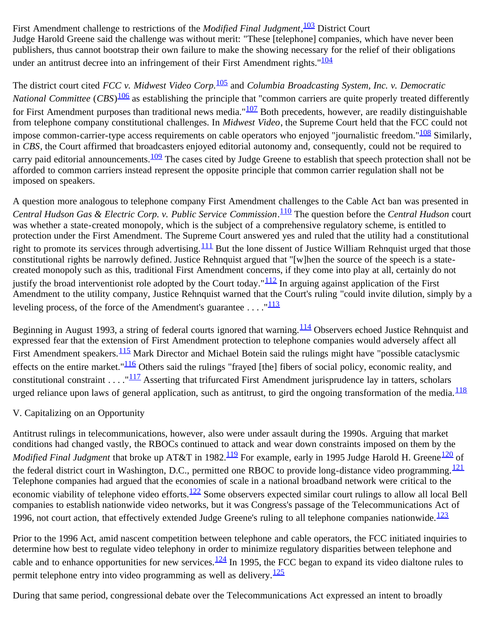First Amendment challenge to restrictions of the *Modified Final Judgment*, [103](#page-18-7) District Court Judge Harold Greene said the challenge was without merit: "These [telephone] companies, which have never been publishers, thus cannot bootstrap their own failure to make the showing necessary for the relief of their obligations under an antitrust decree into an infringement of their First Amendment rights."<sup>[104](#page-18-8)</sup>

The district court cited *FCC v. Midwest Video Corp.*[105](#page-18-9) and *Columbia Broadcasting System, Inc. v. Democratic National Committee* (*CBS*) [106](#page-18-10) as establishing the principle that "common carriers are quite properly treated differently for First Amendment purposes than traditional news media." $107$  Both precedents, however, are readily distinguishable from telephone company constitutional challenges. In *Midwest Video*, the Supreme Court held that the FCC could not impose common-carrier-type access requirements on cable operators who enjoyed "journalistic freedom."<sup>108</sup> Similarly, in *CBS*, the Court affirmed that broadcasters enjoyed editorial autonomy and, consequently, could not be required to carry paid editorial announcements. $\frac{109}{109}$  $\frac{109}{109}$  $\frac{109}{109}$  The cases cited by Judge Greene to establish that speech protection shall not be afforded to common carriers instead represent the opposite principle that common carrier regulation shall not be imposed on speakers.

A question more analogous to telephone company First Amendment challenges to the Cable Act ban was presented in *Central Hudson Gas & Electric Corp. v. Public Service Commission*. [110](#page-18-14) The question before the *Central Hudson* court was whether a state-created monopoly, which is the subject of a comprehensive regulatory scheme, is entitled to protection under the First Amendment. The Supreme Court answered yes and ruled that the utility had a constitutional right to promote its services through advertising.  $\frac{111}{11}$  $\frac{111}{11}$  $\frac{111}{11}$  But the lone dissent of Justice William Rehnquist urged that those constitutional rights be narrowly defined. Justice Rehnquist argued that "[w]hen the source of the speech is a statecreated monopoly such as this, traditional First Amendment concerns, if they come into play at all, certainly do not justify the broad interventionist role adopted by the Court today." $\frac{112}{2}$  $\frac{112}{2}$  $\frac{112}{2}$  In arguing against application of the First Amendment to the utility company, Justice Rehnquist warned that the Court's ruling "could invite dilution, simply by a leveling process, of the force of the Amendment's guarantee  $\dots$ ."<sup>[113](#page-19-0)</sup>

Beginning in August 1993, a string of federal courts ignored that warning.<sup>114</sup> Observers echoed Justice Rehnquist and expressed fear that the extension of First Amendment protection to telephone companies would adversely affect all First Amendment speakers.<sup>115</sup> Mark Director and Michael Botein said the rulings might have "possible cataclysmic effects on the entire market." $\frac{116}{116}$  $\frac{116}{116}$  $\frac{116}{116}$  Others said the rulings "frayed [the] fibers of social policy, economic reality, and constitutional constraint . . . . " $\frac{117}{2}$  $\frac{117}{2}$  $\frac{117}{2}$  Asserting that trifurcated First Amendment jurisprudence lay in tatters, scholars urged reliance upon laws of general application, such as antitrust, to gird the ongoing transformation of the media. $\frac{118}{118}$  $\frac{118}{118}$  $\frac{118}{118}$ 

#### V. Capitalizing on an Opportunity

Antitrust rulings in telecommunications, however, also were under assault during the 1990s. Arguing that market conditions had changed vastly, the RBOCs continued to attack and wear down constraints imposed on them by the *Modified Final Judgment* that broke up AT&T in 1982.<sup>119</sup> For example, early in 1995 Judge Harold H. Greene<sup>[120](#page-19-7)</sup> of the federal district court in Washington, D.C., permitted one RBOC to provide long-distance video programming.<sup>[121](#page-19-8)</sup> Telephone companies had argued that the economies of scale in a national broadband network were critical to the economic viability of telephone video efforts.<sup>[122](#page-19-9)</sup> Some observers expected similar court rulings to allow all local Bell companies to establish nationwide video networks, but it was Congress's passage of the Telecommunications Act of 1996, not court action, that effectively extended Judge Greene's ruling to all telephone companies nationwide. $\frac{123}{123}$  $\frac{123}{123}$  $\frac{123}{123}$ 

Prior to the 1996 Act, amid nascent competition between telephone and cable operators, the FCC initiated inquiries to determine how best to regulate video telephony in order to minimize regulatory disparities between telephone and cable and to enhance opportunities for new services. $124$  In 1995, the FCC began to expand its video dialtone rules to permit telephone entry into video programming as well as delivery.  $\frac{125}{25}$  $\frac{125}{25}$  $\frac{125}{25}$ 

During that same period, congressional debate over the Telecommunications Act expressed an intent to broadly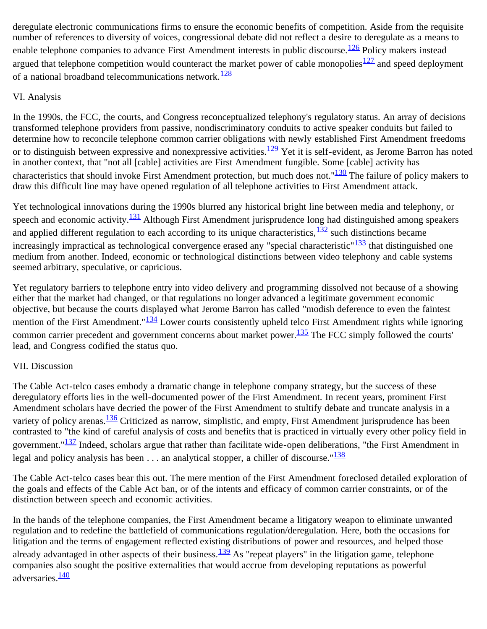deregulate electronic communications firms to ensure the economic benefits of competition. Aside from the requisite number of references to diversity of voices, congressional debate did not reflect a desire to deregulate as a means to enable telephone companies to advance First Amendment interests in public discourse.<sup>126</sup> Policy makers instead argued that telephone competition would counteract the market power of cable monopolies<sup>[127](#page-19-14)</sup> and speed deployment of a national broadband telecommunications network. $\frac{128}{128}$ 

### VI. Analysis

In the 1990s, the FCC, the courts, and Congress reconceptualized telephony's regulatory status. An array of decisions transformed telephone providers from passive, nondiscriminatory conduits to active speaker conduits but failed to determine how to reconcile telephone common carrier obligations with newly established First Amendment freedoms or to distinguish between expressive and nonexpressive activities. $\frac{129}{2}$  Yet it is self-evident, as Jerome Barron has noted in another context, that "not all [cable] activities are First Amendment fungible. Some [cable] activity has characteristics that should invoke First Amendment protection, but much does not."<sup>[130](#page-19-16)</sup> The failure of policy makers to draw this difficult line may have opened regulation of all telephone activities to First Amendment attack.

Yet technological innovations during the 1990s blurred any historical bright line between media and telephony, or speech and economic activity.<sup>[131](#page-20-0)</sup> Although First Amendment jurisprudence long had distinguished among speakers and applied different regulation to each according to its unique characteristics,  $\frac{132}{2}$  such distinctions became increasingly impractical as technological convergence erased any "special characteristic" $\frac{133}{133}$  that distinguished one medium from another. Indeed, economic or technological distinctions between video telephony and cable systems seemed arbitrary, speculative, or capricious.

Yet regulatory barriers to telephone entry into video delivery and programming dissolved not because of a showing either that the market had changed, or that regulations no longer advanced a legitimate government economic objective, but because the courts displayed what Jerome Barron has called "modish deference to even the faintest mention of the First Amendment."<sup>[134](#page-20-3)</sup> Lower courts consistently upheld telco First Amendment rights while ignoring common carrier precedent and government concerns about market power.<sup>[135](#page-20-4)</sup> The FCC simply followed the courts' lead, and Congress codified the status quo.

# VII. Discussion

The Cable Act-telco cases embody a dramatic change in telephone company strategy, but the success of these deregulatory efforts lies in the well-documented power of the First Amendment. In recent years, prominent First Amendment scholars have decried the power of the First Amendment to stultify debate and truncate analysis in a variety of policy arenas.<sup>[136](#page-20-5)</sup> Criticized as narrow, simplistic, and empty, First Amendment jurisprudence has been contrasted to "the kind of careful analysis of costs and benefits that is practiced in virtually every other policy field in government."<sup>[137](#page-20-6)</sup> Indeed, scholars argue that rather than facilitate wide-open deliberations, "the First Amendment in legal and policy analysis has been  $\dots$  an analytical stopper, a chiller of discourse." $\frac{138}{2}$  $\frac{138}{2}$  $\frac{138}{2}$ 

The Cable Act-telco cases bear this out. The mere mention of the First Amendment foreclosed detailed exploration of the goals and effects of the Cable Act ban, or of the intents and efficacy of common carrier constraints, or of the distinction between speech and economic activities.

In the hands of the telephone companies, the First Amendment became a litigatory weapon to eliminate unwanted regulation and to redefine the battlefield of communications regulation/deregulation. Here, both the occasions for litigation and the terms of engagement reflected existing distributions of power and resources, and helped those already advantaged in other aspects of their business. $\frac{139}{132}$  As "repeat players" in the litigation game, telephone companies also sought the positive externalities that would accrue from developing reputations as powerful adversaries.<sup>[140](#page-20-9)</sup>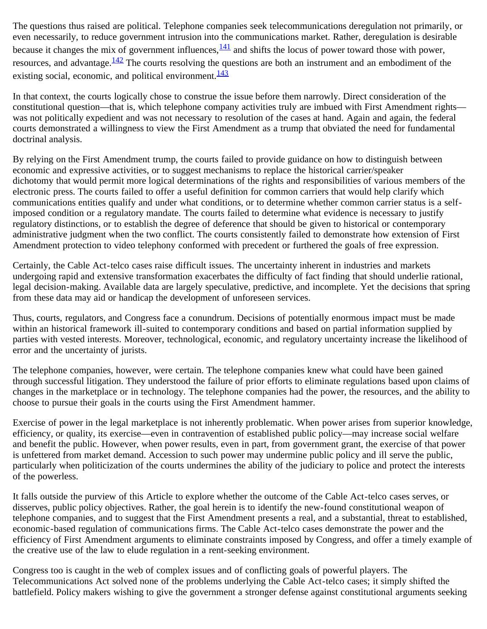The questions thus raised are political. Telephone companies seek telecommunications deregulation not primarily, or even necessarily, to reduce government intrusion into the communications market. Rather, deregulation is desirable because it changes the mix of government influences,  $\frac{141}{14}$  and shifts the locus of power toward those with power, resources, and advantage.<sup>142</sup> The courts resolving the questions are both an instrument and an embodiment of the existing social, economic, and political environment. $\frac{143}{143}$  $\frac{143}{143}$  $\frac{143}{143}$ 

In that context, the courts logically chose to construe the issue before them narrowly. Direct consideration of the constitutional question—that is, which telephone company activities truly are imbued with First Amendment rights was not politically expedient and was not necessary to resolution of the cases at hand. Again and again, the federal courts demonstrated a willingness to view the First Amendment as a trump that obviated the need for fundamental doctrinal analysis.

By relying on the First Amendment trump, the courts failed to provide guidance on how to distinguish between economic and expressive activities, or to suggest mechanisms to replace the historical carrier/speaker dichotomy that would permit more logical determinations of the rights and responsibilities of various members of the electronic press. The courts failed to offer a useful definition for common carriers that would help clarify which communications entities qualify and under what conditions, or to determine whether common carrier status is a selfimposed condition or a regulatory mandate. The courts failed to determine what evidence is necessary to justify regulatory distinctions, or to establish the degree of deference that should be given to historical or contemporary administrative judgment when the two conflict. The courts consistently failed to demonstrate how extension of First Amendment protection to video telephony conformed with precedent or furthered the goals of free expression.

Certainly, the Cable Act-telco cases raise difficult issues. The uncertainty inherent in industries and markets undergoing rapid and extensive transformation exacerbates the difficulty of fact finding that should underlie rational, legal decision-making. Available data are largely speculative, predictive, and incomplete. Yet the decisions that spring from these data may aid or handicap the development of unforeseen services.

Thus, courts, regulators, and Congress face a conundrum. Decisions of potentially enormous impact must be made within an historical framework ill-suited to contemporary conditions and based on partial information supplied by parties with vested interests. Moreover, technological, economic, and regulatory uncertainty increase the likelihood of error and the uncertainty of jurists.

The telephone companies, however, were certain. The telephone companies knew what could have been gained through successful litigation. They understood the failure of prior efforts to eliminate regulations based upon claims of changes in the marketplace or in technology. The telephone companies had the power, the resources, and the ability to choose to pursue their goals in the courts using the First Amendment hammer.

Exercise of power in the legal marketplace is not inherently problematic. When power arises from superior knowledge, efficiency, or quality, its exercise—even in contravention of established public policy—may increase social welfare and benefit the public. However, when power results, even in part, from government grant, the exercise of that power is unfettered from market demand. Accession to such power may undermine public policy and ill serve the public, particularly when politicization of the courts undermines the ability of the judiciary to police and protect the interests of the powerless.

It falls outside the purview of this Article to explore whether the outcome of the Cable Act-telco cases serves, or disserves, public policy objectives. Rather, the goal herein is to identify the new-found constitutional weapon of telephone companies, and to suggest that the First Amendment presents a real, and a substantial, threat to established, economic-based regulation of communications firms. The Cable Act-telco cases demonstrate the power and the efficiency of First Amendment arguments to eliminate constraints imposed by Congress, and offer a timely example of the creative use of the law to elude regulation in a rent-seeking environment.

Congress too is caught in the web of complex issues and of conflicting goals of powerful players. The Telecommunications Act solved none of the problems underlying the Cable Act-telco cases; it simply shifted the battlefield. Policy makers wishing to give the government a stronger defense against constitutional arguments seeking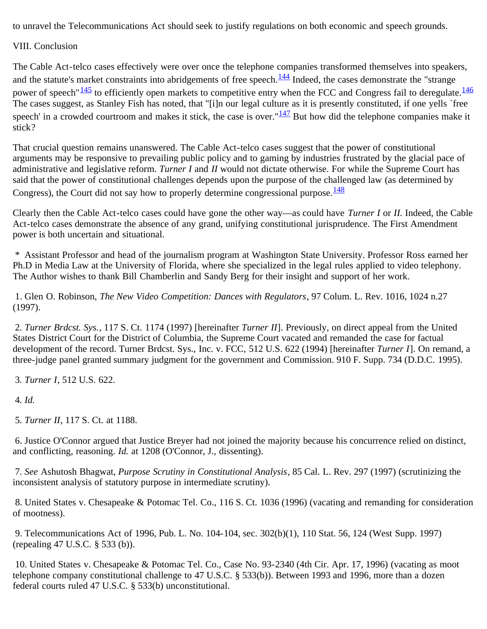to unravel the Telecommunications Act should seek to justify regulations on both economic and speech grounds.

VIII. Conclusion

The Cable Act-telco cases effectively were over once the telephone companies transformed themselves into speakers, and the statute's market constraints into abridgements of free speech.<sup>144</sup> Indeed, the cases demonstrate the "strange" power of speech" $\frac{145}{146}$  $\frac{145}{146}$  $\frac{145}{146}$  to efficiently open markets to competitive entry when the FCC and Congress fail to deregulate.  $\frac{146}{146}$ The cases suggest, as Stanley Fish has noted, that "[i]n our legal culture as it is presently constituted, if one yells `free speech' in a crowded courtroom and makes it stick, the case is over." $\frac{147}{147}$  But how did the telephone companies make it stick?

That crucial question remains unanswered. The Cable Act-telco cases suggest that the power of constitutional arguments may be responsive to prevailing public policy and to gaming by industries frustrated by the glacial pace of administrative and legislative reform. *Turner I* and *II* would not dictate otherwise. For while the Supreme Court has said that the power of constitutional challenges depends upon the purpose of the challenged law (as determined by Congress), the Court did not say how to properly determine congressional purpose.  $\frac{148}{128}$  $\frac{148}{128}$  $\frac{148}{128}$ 

Clearly then the Cable Act-telco cases could have gone the other way—as could have *Turner I* or *II.* Indeed, the Cable Act-telco cases demonstrate the absence of any grand, unifying constitutional jurisprudence. The First Amendment power is both uncertain and situational.

<span id="page-9-0"></span> \* Assistant Professor and head of the journalism program at Washington State University. Professor Ross earned her Ph.D in Media Law at the University of Florida, where she specialized in the legal rules applied to video telephony. The Author wishes to thank Bill Chamberlin and Sandy Berg for their insight and support of her work.

<span id="page-9-1"></span> 1. Glen O. Robinson, *The New Video Competition: Dances with Regulators*, 97 Colum. L. Rev. 1016, 1024 n.27 (1997).

<span id="page-9-2"></span>2*. Turner Brdcst. Sys.*, 117 S. Ct. 1174 (1997) [hereinafter *Turner II*]. Previously, on direct appeal from the United States District Court for the District of Columbia, the Supreme Court vacated and remanded the case for factual development of the record. Turner Brdcst. Sys., Inc. v. FCC, 512 U.S. 622 (1994) [hereinafter *Turner I*]. On remand, a three-judge panel granted summary judgment for the government and Commission. 910 F. Supp. 734 (D.D.C. 1995).

<span id="page-9-3"></span>3*. Turner I*, 512 U.S. 622.

<span id="page-9-4"></span>4*. Id.*

<span id="page-9-5"></span>5*. Turner II*, 117 S. Ct. at 1188.

<span id="page-9-6"></span> 6. Justice O'Connor argued that Justice Breyer had not joined the majority because his concurrence relied on distinct, and conflicting, reasoning. *Id.* at 1208 (O'Connor, J., dissenting).

<span id="page-9-7"></span>7*. See* Ashutosh Bhagwat, *Purpose Scrutiny in Constitutional Analysis*, 85 Cal. L. Rev. 297 (1997) (scrutinizing the inconsistent analysis of statutory purpose in intermediate scrutiny).

<span id="page-9-8"></span> 8. United States v. Chesapeake & Potomac Tel. Co., 116 S. Ct. 1036 (1996) (vacating and remanding for consideration of mootness).

<span id="page-9-9"></span> 9. Telecommunications Act of 1996, Pub. L. No. 104-104, sec. 302(b)(1), 110 Stat. 56, 124 (West Supp. 1997) (repealing 47 U.S.C. § 533 (b)).

<span id="page-9-10"></span> 10. United States v. Chesapeake & Potomac Tel. Co., Case No. 93-2340 (4th Cir. Apr. 17, 1996) (vacating as moot telephone company constitutional challenge to 47 U.S.C. § 533(b)). Between 1993 and 1996, more than a dozen federal courts ruled 47 U.S.C. § 533(b) unconstitutional.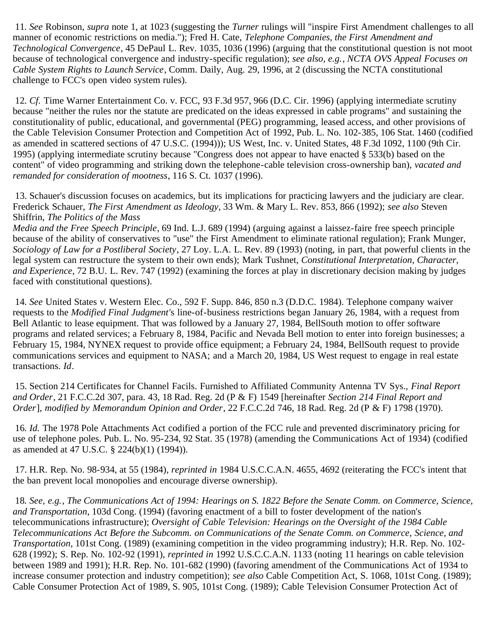<span id="page-10-0"></span>11*. See* Robinson, *supra* note 1, at 1023 (suggesting the *Turner* rulings will "inspire First Amendment challenges to all manner of economic restrictions on media."); Fred H. Cate, *Telephone Companies, the First Amendment and Technological Convergence*, 45 DePaul L. Rev. 1035, 1036 (1996) (arguing that the constitutional question is not moot because of technological convergence and industry-specific regulation); *see also, e.g.*, *NCTA OVS Appeal Focuses on Cable System Rights to Launch Service*, Comm. Daily, Aug. 29, 1996, at 2 (discussing the NCTA constitutional challenge to FCC's open video system rules).

<span id="page-10-1"></span>12*. Cf.* Time Warner Entertainment Co. v. FCC, 93 F.3d 957, 966 (D.C. Cir. 1996) (applying intermediate scrutiny because "neither the rules nor the statute are predicated on the ideas expressed in cable programs" and sustaining the constitutionality of public, educational, and governmental (PEG) programming, leased access, and other provisions of the Cable Television Consumer Protection and Competition Act of 1992, Pub. L. No. 102-385, 106 Stat. 1460 (codified as amended in scattered sections of 47 U.S.C. (1994))); US West, Inc. v. United States, 48 F.3d 1092, 1100 (9th Cir. 1995) (applying intermediate scrutiny because "Congress does not appear to have enacted § 533(b) based on the content" of video programming and striking down the telephone-cable television cross-ownership ban), *vacated and remanded for consideration of mootness*, 116 S. Ct. 1037 (1996).

<span id="page-10-2"></span> 13. Schauer's discussion focuses on academics, but its implications for practicing lawyers and the judiciary are clear. Frederick Schauer, *The First Amendment as Ideology*, 33 Wm. & Mary L. Rev. 853, 866 (1992); *see also* Steven Shiffrin, *The Politics of the Mass* 

*Media and the Free Speech Principle*, 69 Ind. L.J. 689 (1994) (arguing against a laissez-faire free speech principle because of the ability of conservatives to "use" the First Amendment to eliminate rational regulation); Frank Munger, *Sociology of Law for a Postliberal Society*, 27 Loy. L.A. L. Rev. 89 (1993) (noting, in part, that powerful clients in the legal system can restructure the system to their own ends); Mark Tushnet, *Constitutional Interpretation, Character, and Experience*, 72 B.U. L. Rev. 747 (1992) (examining the forces at play in discretionary decision making by judges faced with constitutional questions).

<span id="page-10-3"></span>14*. See* United States v. Western Elec. Co., 592 F. Supp. 846, 850 n.3 (D.D.C. 1984). Telephone company waiver requests to the *Modified Final Judgment'*s line-of-business restrictions began January 26, 1984, with a request from Bell Atlantic to lease equipment. That was followed by a January 27, 1984, BellSouth motion to offer software programs and related services; a February 8, 1984, Pacific and Nevada Bell motion to enter into foreign businesses; a February 15, 1984, NYNEX request to provide office equipment; a February 24, 1984, BellSouth request to provide communications services and equipment to NASA; and a March 20, 1984, US West request to engage in real estate transactions. *Id*.

<span id="page-10-4"></span> 15. Section 214 Certificates for Channel Facils. Furnished to Affiliated Community Antenna TV Sys., *Final Report and Order*, 21 F.C.C.2d 307, para. 43, 18 Rad. Reg. 2d (P & F) 1549 [hereinafter *Section 214 Final Report and Order*], *modified by Memorandum Opinion and Order*, 22 F.C.C.2d 746, 18 Rad. Reg. 2d (P & F) 1798 (1970).

<span id="page-10-5"></span>16*. Id.* The 1978 Pole Attachments Act codified a portion of the FCC rule and prevented discriminatory pricing for use of telephone poles. Pub. L. No. 95-234, 92 Stat. 35 (1978) (amending the Communications Act of 1934) (codified as amended at 47 U.S.C. § 224(b)(1) (1994)).

<span id="page-10-6"></span> 17. H.R. Rep. No. 98-934, at 55 (1984), *reprinted in* 1984 U.S.C.C.A.N. 4655, 4692 (reiterating the FCC's intent that the ban prevent local monopolies and encourage diverse ownership).

<span id="page-10-7"></span>18*. See, e.g.*, *The Communications Act of 1994: Hearings on S. 1822 Before the Senate Comm. on Commerce, Science, and Transportation*, 103d Cong. (1994) (favoring enactment of a bill to foster development of the nation's telecommunications infrastructure); *Oversight of Cable Television: Hearings on the Oversight of the 1984 Cable Telecommunications Act Before the Subcomm. on Communications of the Senate Comm. on Commerce, Science, and Transportation*, 101st Cong. (1989) (examining competition in the video programming industry); H.R. Rep. No. 102- 628 (1992); S. Rep. No. 102-92 (1991), *reprinted in* 1992 U.S.C.C.A.N. 1133 (noting 11 hearings on cable television between 1989 and 1991); H.R. Rep. No. 101-682 (1990) (favoring amendment of the Communications Act of 1934 to increase consumer protection and industry competition); *see also* Cable Competition Act, S. 1068, 101st Cong. (1989); Cable Consumer Protection Act of 1989, S. 905, 101st Cong. (1989); Cable Television Consumer Protection Act of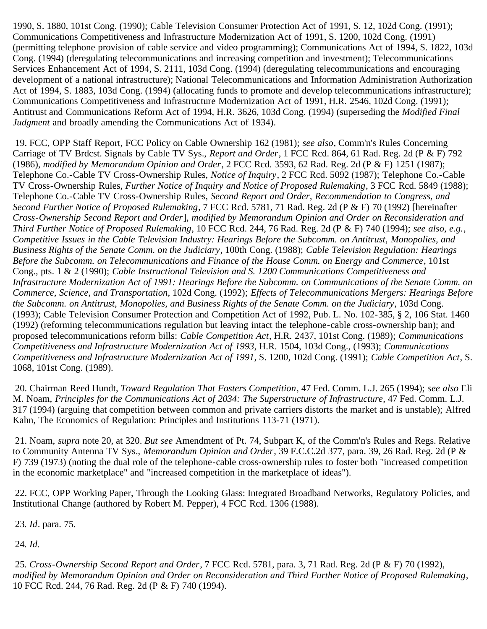1990, S. 1880, 101st Cong. (1990); Cable Television Consumer Protection Act of 1991, S. 12, 102d Cong. (1991); Communications Competitiveness and Infrastructure Modernization Act of 1991, S. 1200, 102d Cong. (1991) (permitting telephone provision of cable service and video programming); Communications Act of 1994, S. 1822, 103d Cong. (1994) (deregulating telecommunications and increasing competition and investment); Telecommunications Services Enhancement Act of 1994, S. 2111, 103d Cong. (1994) (deregulating telecommunications and encouraging development of a national infrastructure); National Telecommunications and Information Administration Authorization Act of 1994, S. 1883, 103d Cong. (1994) (allocating funds to promote and develop telecommunications infrastructure); Communications Competitiveness and Infrastructure Modernization Act of 1991, H.R. 2546, 102d Cong. (1991); Antitrust and Communications Reform Act of 1994, H.R. 3626, 103d Cong. (1994) (superseding the *Modified Final Judgment* and broadly amending the Communications Act of 1934).

<span id="page-11-0"></span> 19. FCC, OPP Staff Report, FCC Policy on Cable Ownership 162 (1981); *see also*, Comm'n's Rules Concerning Carriage of TV Brdcst. Signals by Cable TV Sys., *Report and Order*, 1 FCC Rcd. 864, 61 Rad. Reg. 2d (P & F) 792 (1986), *modified by Memorandum Opinion and Order*, 2 FCC Rcd. 3593, 62 Rad. Reg. 2d (P & F) 1251 (1987); Telephone Co.-Cable TV Cross-Ownership Rules, *Notice of Inquiry*, 2 FCC Rcd. 5092 (1987); Telephone Co.-Cable TV Cross-Ownership Rules, *Further Notice of Inquiry and Notice of Proposed Rulemaking*, 3 FCC Rcd. 5849 (1988); Telephone Co.-Cable TV Cross-Ownership Rules, *Second Report and Order, Recommendation to Congress, and Second Further Notice of Proposed Rulemaking*, 7 FCC Rcd. 5781, 71 Rad. Reg. 2d (P & F) 70 (1992) [hereinafter *Cross-Ownership Second Report and Order*], *modified by Memorandum Opinion and Order on Reconsideration and Third Further Notice of Proposed Rulemaking*, 10 FCC Rcd. 244, 76 Rad. Reg. 2d (P & F) 740 (1994); *see also, e.g.*, *Competitive Issues in the Cable Television Industry: Hearings Before the Subcomm. on Antitrust, Monopolies, and Business Rights of the Senate Comm. on the Judiciary*, 100th Cong. (1988); *Cable Television Regulation: Hearings Before the Subcomm. on Telecommunications and Finance of the House Comm. on Energy and Commerce*, 101st Cong., pts. 1 & 2 (1990); *Cable Instructional Television and S. 1200 Communications Competitiveness and Infrastructure Modernization Act of 1991: Hearings Before the Subcomm. on Communications of the Senate Comm. on Commerce, Science, and Transportation*, 102d Cong. (1992); *Effects of Telecommunications Mergers: Hearings Before the Subcomm. on Antitrust, Monopolies, and Business Rights of the Senate Comm. on the Judiciary*, 103d Cong. (1993); Cable Television Consumer Protection and Competition Act of 1992, Pub. L. No. 102-385, § 2, 106 Stat. 1460 (1992) (reforming telecommunications regulation but leaving intact the telephone-cable cross-ownership ban); and proposed telecommunications reform bills: *Cable Competition Act*, H.R. 2437, 101st Cong. (1989); *Communications Competitiveness and Infrastructure Modernization Act of 1993*, H.R. 1504, 103d Cong., (1993); *Communications Competitiveness and Infrastructure Modernization Act of 1991*, S. 1200, 102d Cong. (1991); *Cable Competition Act*, S. 1068, 101st Cong. (1989).

<span id="page-11-1"></span> 20. Chairman Reed Hundt, *Toward Regulation That Fosters Competition*, 47 Fed. Comm. L.J. 265 (1994); *see also* Eli M. Noam, *Principles for the Communications Act of 2034: The Superstructure of Infrastructure*, 47 Fed. Comm. L.J. 317 (1994) (arguing that competition between common and private carriers distorts the market and is unstable); Alfred Kahn, The Economics of Regulation: Principles and Institutions 113-71 (1971).

<span id="page-11-2"></span> 21. Noam, *supra* note 20, at 320. *But see* Amendment of Pt. 74, Subpart K, of the Comm'n's Rules and Regs. Relative to Community Antenna TV Sys., *Memorandum Opinion and Order*, 39 F.C.C.2d 377, para. 39, 26 Rad. Reg. 2d (P & F) 739 (1973) (noting the dual role of the telephone-cable cross-ownership rules to foster both "increased competition in the economic marketplace" and "increased competition in the marketplace of ideas").

<span id="page-11-3"></span> 22. FCC, OPP Working Paper, Through the Looking Glass: Integrated Broadband Networks, Regulatory Policies, and Institutional Change (authored by Robert M. Pepper), 4 FCC Rcd. 1306 (1988).

<span id="page-11-4"></span>23*. Id*. para. 75.

<span id="page-11-5"></span>24*. Id.*

<span id="page-11-6"></span>25*. Cross-Ownership Second Report and Order*, 7 FCC Rcd. 5781, para. 3, 71 Rad. Reg. 2d (P & F) 70 (1992), *modified by Memorandum Opinion and Order on Reconsideration and Third Further Notice of Proposed Rulemaking*, 10 FCC Rcd. 244, 76 Rad. Reg. 2d (P & F) 740 (1994).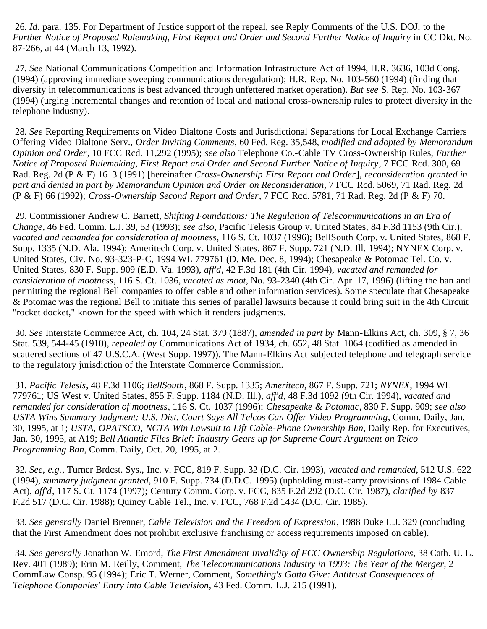<span id="page-12-0"></span>26*. Id.* para. 135. For Department of Justice support of the repeal, see Reply Comments of the U.S. DOJ, to the *Further Notice of Proposed Rulemaking, First Report and Order and Second Further Notice of Inquiry* in CC Dkt. No. 87-266, at 44 (March 13, 1992).

<span id="page-12-1"></span>27*. See* National Communications Competition and Information Infrastructure Act of 1994, H.R. 3636, 103d Cong. (1994) (approving immediate sweeping communications deregulation); H.R. Rep. No. 103-560 (1994) (finding that diversity in telecommunications is best advanced through unfettered market operation). *But see* S. Rep. No. 103-367 (1994) (urging incremental changes and retention of local and national cross-ownership rules to protect diversity in the telephone industry).

<span id="page-12-2"></span>28*. See* Reporting Requirements on Video Dialtone Costs and Jurisdictional Separations for Local Exchange Carriers Offering Video Dialtone Serv., *Order Inviting Comments*, 60 Fed. Reg. 35,548, *modified and adopted by Memorandum Opinion and Order*, 10 FCC Rcd. 11,292 (1995); *see also* Telephone Co.-Cable TV Cross-Ownership Rules, *Further Notice of Proposed Rulemaking, First Report and Order and Second Further Notice of Inquiry*, 7 FCC Rcd. 300, 69 Rad. Reg. 2d (P & F) 1613 (1991) [hereinafter *Cross-Ownership First Report and Order*], *reconsideration granted in part and denied in part by Memorandum Opinion and Order on Reconsideration*, 7 FCC Rcd. 5069, 71 Rad. Reg. 2d (P & F) 66 (1992); *Cross-Ownership Second Report and Order*, 7 FCC Rcd. 5781, 71 Rad. Reg. 2d (P & F) 70.

<span id="page-12-3"></span> 29. Commissioner Andrew C. Barrett, *Shifting Foundations: The Regulation of Telecommunications in an Era of Change*, 46 Fed. Comm. L.J. 39, 53 (1993); *see also*, Pacific Telesis Group v. United States, 84 F.3d 1153 (9th Cir.), *vacated and remanded for consideration of mootness*, 116 S. Ct. 1037 (1996); BellSouth Corp. v. United States, 868 F. Supp. 1335 (N.D. Ala. 1994); Ameritech Corp. v. United States, 867 F. Supp. 721 (N.D. Ill. 1994); NYNEX Corp. v. United States, Civ. No. 93-323-P-C, 1994 WL 779761 (D. Me. Dec. 8, 1994); Chesapeake & Potomac Tel. Co. v. United States, 830 F. Supp. 909 (E.D. Va. 1993), *aff'd*, 42 F.3d 181 (4th Cir. 1994), *vacated and remanded for consideration of mootness*, 116 S. Ct. 1036, *vacated as moot*, No. 93-2340 (4th Cir. Apr. 17, 1996) (lifting the ban and permitting the regional Bell companies to offer cable and other information services). Some speculate that Chesapeake & Potomac was the regional Bell to initiate this series of parallel lawsuits because it could bring suit in the 4th Circuit "rocket docket," known for the speed with which it renders judgments.

<span id="page-12-4"></span>30*. See* Interstate Commerce Act, ch. 104, 24 Stat. 379 (1887), *amended in part by* Mann-Elkins Act, ch. 309, § 7, 36 Stat. 539, 544-45 (1910), *repealed by* Communications Act of 1934, ch. 652, 48 Stat. 1064 (codified as amended in scattered sections of 47 U.S.C.A. (West Supp. 1997)). The Mann-Elkins Act subjected telephone and telegraph service to the regulatory jurisdiction of the Interstate Commerce Commission.

<span id="page-12-5"></span>31*. Pacific Telesis*, 48 F.3d 1106; *BellSouth*, 868 F. Supp. 1335; *Ameritech*, 867 F. Supp. 721; *NYNEX*, 1994 WL 779761; US West v. United States, 855 F. Supp. 1184 (N.D. Ill.), *aff'd*, 48 F.3d 1092 (9th Cir. 1994), *vacated and remanded for consideration of mootness*, 116 S. Ct. 1037 (1996); *Chesapeake & Potomac*, 830 F. Supp. 909; *see also USTA Wins Summary Judgment: U.S. Dist. Court Says All Telcos Can Offer Video Programming*, Comm. Daily, Jan. 30, 1995, at 1; *USTA, OPATSCO, NCTA Win Lawsuit to Lift Cable-Phone Ownership Ban*, Daily Rep. for Executives, Jan. 30, 1995, at A19; *Bell Atlantic Files Brief: Industry Gears up for Supreme Court Argument on Telco Programming Ban*, Comm. Daily, Oct. 20, 1995, at 2.

<span id="page-12-6"></span>32*. See, e.g.*, Turner Brdcst. Sys., Inc. v. FCC, 819 F. Supp. 32 (D.C. Cir. 1993), *vacated and remanded*, 512 U.S. 622 (1994), *summary judgment granted*, 910 F. Supp. 734 (D.D.C. 1995) (upholding must-carry provisions of 1984 Cable Act), *aff'd*, 117 S. Ct. 1174 (1997); Century Comm. Corp. v. FCC, 835 F.2d 292 (D.C. Cir. 1987), *clarified by* 837 F.2d 517 (D.C. Cir. 1988); Quincy Cable Tel., Inc. v. FCC, 768 F.2d 1434 (D.C. Cir. 1985).

<span id="page-12-7"></span>33*. See generally* Daniel Brenner, *Cable Television and the Freedom of Expression*, 1988 Duke L.J. 329 (concluding that the First Amendment does not prohibit exclusive franchising or access requirements imposed on cable).

<span id="page-12-8"></span>34*. See generally* Jonathan W. Emord, *The First Amendment Invalidity of FCC Ownership Regulations*, 38 Cath. U. L. Rev. 401 (1989); Erin M. Reilly, Comment, *The Telecommunications Industry in 1993: The Year of the Merger*, 2 CommLaw Consp. 95 (1994); Eric T. Werner, Comment, *Something's Gotta Give: Antitrust Consequences of Telephone Companies' Entry into Cable Television*, 43 Fed. Comm. L.J. 215 (1991).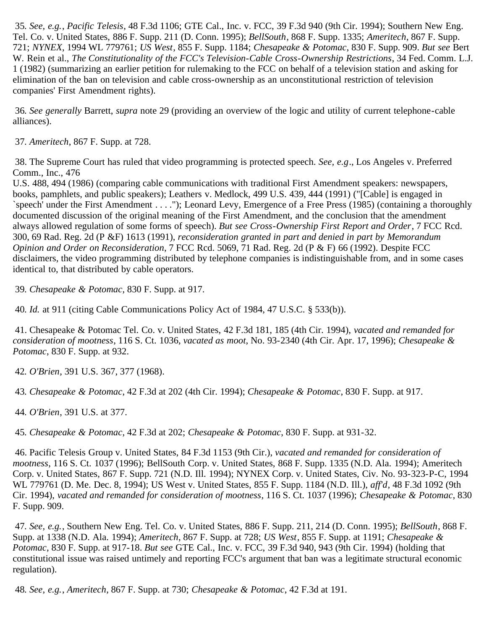<span id="page-13-0"></span>35*. See, e.g.*, *Pacific Telesis*, 48 F.3d 1106; GTE Cal., Inc. v. FCC, 39 F.3d 940 (9th Cir. 1994); Southern New Eng. Tel. Co. v. United States, 886 F. Supp. 211 (D. Conn. 1995); *BellSouth*, 868 F. Supp. 1335; *Ameritech*, 867 F. Supp. 721; *NYNEX*, 1994 WL 779761; *US West*, 855 F. Supp. 1184; *Chesapeake & Potomac*, 830 F. Supp. 909. *But see* Bert W. Rein et al., *The Constitutionality of the FCC's Television-Cable Cross-Ownership Restrictions*, 34 Fed. Comm. L.J. 1 (1982) (summarizing an earlier petition for rulemaking to the FCC on behalf of a television station and asking for elimination of the ban on television and cable cross-ownership as an unconstitutional restriction of television companies' First Amendment rights).

<span id="page-13-1"></span>36*. See generally* Barrett, *supra* note 29 (providing an overview of the logic and utility of current telephone-cable alliances).

<span id="page-13-2"></span>37*. Ameritech*, 867 F. Supp. at 728.

<span id="page-13-3"></span> 38. The Supreme Court has ruled that video programming is protected speech. *See, e.g*., Los Angeles v. Preferred Comm., Inc., 476

U.S. 488, 494 (1986) (comparing cable communications with traditional First Amendment speakers: newspapers, books, pamphlets, and public speakers); Leathers v. Medlock, 499 U.S. 439, 444 (1991) ("[Cable] is engaged in `speech' under the First Amendment . . . ."); Leonard Levy, Emergence of a Free Press (1985) (containing a thoroughly documented discussion of the original meaning of the First Amendment, and the conclusion that the amendment always allowed regulation of some forms of speech). *But see Cross-Ownership First Report and Order*, 7 FCC Rcd. 300, 69 Rad. Reg. 2d (P &F) 1613 (1991), *reconsideration granted in part and denied in part by Memorandum Opinion and Order on Reconsideration*, 7 FCC Rcd. 5069, 71 Rad. Reg. 2d (P & F) 66 (1992). Despite FCC disclaimers, the video programming distributed by telephone companies is indistinguishable from, and in some cases identical to, that distributed by cable operators.

<span id="page-13-4"></span>39*. Chesapeake & Potomac*, 830 F. Supp. at 917.

40*. Id.* at 911 (citing Cable Communications Policy Act of 1984, 47 U.S.C. § 533(b)).

<span id="page-13-5"></span> 41. Chesapeake & Potomac Tel. Co. v. United States, 42 F.3d 181, 185 (4th Cir. 1994), *vacated and remanded for consideration of mootness*, 116 S. Ct. 1036, *vacated as moot*, No. 93-2340 (4th Cir. Apr. 17, 1996); *Chesapeake & Potomac*, 830 F. Supp. at 932.

<span id="page-13-6"></span>42*. O'Brien*, 391 U.S. 367, 377 (1968).

<span id="page-13-7"></span>43*. Chesapeake & Potomac*, 42 F.3d at 202 (4th Cir. 1994); *Chesapeake & Potomac*, 830 F. Supp. at 917.

<span id="page-13-8"></span>44*. O'Brien*, 391 U.S. at 377.

<span id="page-13-9"></span>45*. Chesapeake & Potomac*, 42 F.3d at 202; *Chesapeake & Potomac*, 830 F. Supp. at 931-32.

<span id="page-13-10"></span> 46. Pacific Telesis Group v. United States, 84 F.3d 1153 (9th Cir.), *vacated and remanded for consideration of mootness*, 116 S. Ct. 1037 (1996); BellSouth Corp. v. United States, 868 F. Supp. 1335 (N.D. Ala. 1994); Ameritech Corp. v. United States, 867 F. Supp. 721 (N.D. Ill. 1994); NYNEX Corp. v. United States, Civ. No. 93-323-P-C, 1994 WL 779761 (D. Me. Dec. 8, 1994); US West v. United States, 855 F. Supp. 1184 (N.D. Ill.), *aff'd*, 48 F.3d 1092 (9th Cir. 1994), *vacated and remanded for consideration of mootness*, 116 S. Ct. 1037 (1996); *Chesapeake & Potomac*, 830 F. Supp. 909.

<span id="page-13-11"></span>47*. See, e.g.*, Southern New Eng. Tel. Co. v. United States, 886 F. Supp. 211, 214 (D. Conn. 1995); *BellSouth*, 868 F. Supp. at 1338 (N.D. Ala. 1994); *Ameritech*, 867 F. Supp. at 728; *US West*, 855 F. Supp. at 1191; *Chesapeake & Potomac*, 830 F. Supp. at 917-18. *But see* GTE Cal., Inc. v. FCC, 39 F.3d 940, 943 (9th Cir. 1994) (holding that constitutional issue was raised untimely and reporting FCC's argument that ban was a legitimate structural economic regulation).

<span id="page-13-12"></span>48*. See, e.g.*, *Ameritech*, 867 F. Supp. at 730; *Chesapeake & Potomac*, 42 F.3d at 191.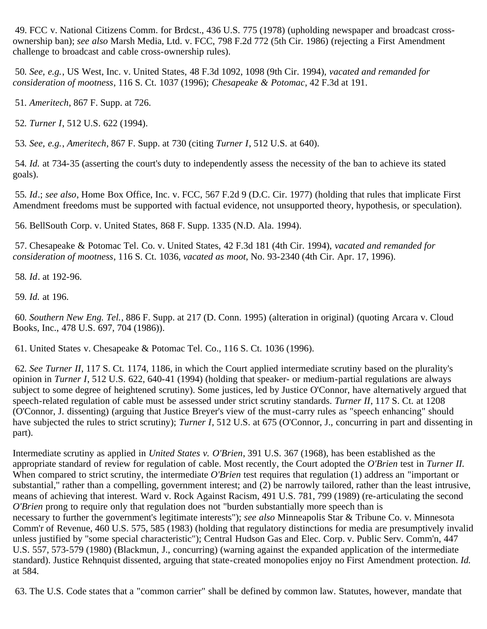<span id="page-14-0"></span> 49. FCC v. National Citizens Comm. for Brdcst., 436 U.S. 775 (1978) (upholding newspaper and broadcast crossownership ban); *see also* Marsh Media, Ltd. v. FCC, 798 F.2d 772 (5th Cir. 1986) (rejecting a First Amendment challenge to broadcast and cable cross-ownership rules).

<span id="page-14-1"></span>50*. See, e.g.*, US West, Inc. v. United States, 48 F.3d 1092, 1098 (9th Cir. 1994), *vacated and remanded for consideration of mootness*, 116 S. Ct. 1037 (1996); *Chesapeake & Potomac*, 42 F.3d at 191.

<span id="page-14-2"></span>51*. Ameritech*, 867 F. Supp. at 726.

<span id="page-14-3"></span>52*. Turner I*, 512 U.S. 622 (1994).

<span id="page-14-4"></span>53*. See, e.g.*, *Ameritech*, 867 F. Supp. at 730 (citing *Turner I*, 512 U.S. at 640).

<span id="page-14-5"></span>54*. Id.* at 734-35 (asserting the court's duty to independently assess the necessity of the ban to achieve its stated goals).

<span id="page-14-6"></span>55*. Id*.; *see also*, Home Box Office, Inc. v. FCC, 567 F.2d 9 (D.C. Cir. 1977) (holding that rules that implicate First Amendment freedoms must be supported with factual evidence, not unsupported theory, hypothesis, or speculation).

<span id="page-14-7"></span>56. BellSouth Corp. v. United States, 868 F. Supp. 1335 (N.D. Ala. 1994).

<span id="page-14-8"></span> 57. Chesapeake & Potomac Tel. Co. v. United States, 42 F.3d 181 (4th Cir. 1994), *vacated and remanded for consideration of mootness*, 116 S. Ct. 1036, *vacated as moot*, No. 93-2340 (4th Cir. Apr. 17, 1996).

<span id="page-14-9"></span>58*. Id*. at 192-96.

<span id="page-14-10"></span>59*. Id.* at 196.

<span id="page-14-11"></span>60*. Southern New Eng. Tel.*, 886 F. Supp. at 217 (D. Conn. 1995) (alteration in original) (quoting Arcara v. Cloud Books, Inc., 478 U.S. 697, 704 (1986)).

<span id="page-14-12"></span>61. United States v. Chesapeake & Potomac Tel. Co., 116 S. Ct. 1036 (1996).

<span id="page-14-13"></span>62*. See Turner II*, 117 S. Ct. 1174, 1186, in which the Court applied intermediate scrutiny based on the plurality's opinion in *Turner I*, 512 U.S. 622, 640-41 (1994) (holding that speaker- or medium-partial regulations are always subject to some degree of heightened scrutiny). Some justices, led by Justice O'Connor, have alternatively argued that speech-related regulation of cable must be assessed under strict scrutiny standards. *Turner II*, 117 S. Ct. at 1208 (O'Connor, J. dissenting) (arguing that Justice Breyer's view of the must-carry rules as "speech enhancing" should have subjected the rules to strict scrutiny); *Turner I*, 512 U.S. at 675 (O'Connor, J., concurring in part and dissenting in part).

Intermediate scrutiny as applied in *United States v. O'Brien*, 391 U.S. 367 (1968), has been established as the appropriate standard of review for regulation of cable. Most recently, the Court adopted the *O'Brien* test in *Turner II.* When compared to strict scrutiny, the intermediate *O'Brien* test requires that regulation (1) address an "important or substantial," rather than a compelling, government interest; and (2) be narrowly tailored, rather than the least intrusive, means of achieving that interest. Ward v. Rock Against Racism, 491 U.S. 781, 799 (1989) (re-articulating the second *O'Brien* prong to require only that regulation does not "burden substantially more speech than is necessary to further the government's legitimate interests"); *see also* Minneapolis Star & Tribune Co. v. Minnesota Comm'r of Revenue, 460 U.S. 575, 585 (1983) (holding that regulatory distinctions for media are presumptively invalid unless justified by "some special characteristic"); Central Hudson Gas and Elec. Corp. v. Public Serv. Comm'n, 447 U.S. 557, 573-579 (1980) (Blackmun, J., concurring) (warning against the expanded application of the intermediate standard). Justice Rehnquist dissented, arguing that state-created monopolies enjoy no First Amendment protection. *Id.* at 584.

<span id="page-14-14"></span>63. The U.S. Code states that a "common carrier" shall be defined by common law. Statutes, however, mandate that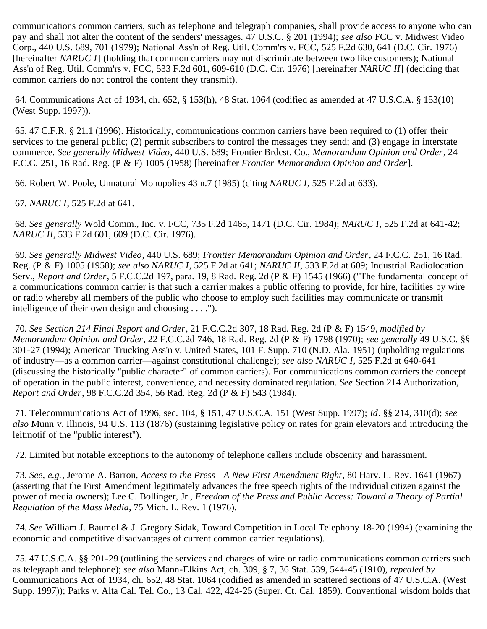communications common carriers, such as telephone and telegraph companies, shall provide access to anyone who can pay and shall not alter the content of the senders' messages. 47 U.S.C. § 201 (1994); *see also* FCC v. Midwest Video Corp., 440 U.S. 689, 701 (1979); National Ass'n of Reg. Util. Comm'rs v. FCC, 525 F.2d 630, 641 (D.C. Cir. 1976) [hereinafter *NARUC I*] (holding that common carriers may not discriminate between two like customers); National Ass'n of Reg. Util. Comm'rs v. FCC, 533 F.2d 601, 609-610 (D.C. Cir. 1976) [hereinafter *NARUC II*] (deciding that common carriers do not control the content they transmit).

<span id="page-15-0"></span> 64. Communications Act of 1934, ch. 652, § 153(h), 48 Stat. 1064 (codified as amended at 47 U.S.C.A. § 153(10) (West Supp. 1997)).

<span id="page-15-1"></span> 65. 47 C.F.R. § 21.1 (1996). Historically, communications common carriers have been required to (1) offer their services to the general public; (2) permit subscribers to control the messages they send; and (3) engage in interstate commerce. *See generally Midwest Video*, 440 U.S. 689; Frontier Brdcst. Co., *Memorandum Opinion and Order*, 24 F.C.C. 251, 16 Rad. Reg. (P & F) 1005 (1958) [hereinafter *Frontier Memorandum Opinion and Order*].

<span id="page-15-2"></span>66. Robert W. Poole, Unnatural Monopolies 43 n.7 (1985) (citing *NARUC I*, 525 F.2d at 633).

<span id="page-15-3"></span>67*. NARUC I*, 525 F.2d at 641.

<span id="page-15-4"></span>68*. See generally* Wold Comm., Inc. v. FCC, 735 F.2d 1465, 1471 (D.C. Cir. 1984); *NARUC I*, 525 F.2d at 641-42; *NARUC II*, 533 F.2d 601, 609 (D.C. Cir. 1976).

<span id="page-15-5"></span>69*. See generally Midwest Video*, 440 U.S. 689; *Frontier Memorandum Opinion and Order*, 24 F.C.C. 251, 16 Rad. Reg. (P & F) 1005 (1958); *see also NARUC I*, 525 F.2d at 641; *NARUC II*, 533 F.2d at 609; Industrial Radiolocation Serv., *Report and Order*, 5 F.C.C.2d 197, para. 19, 8 Rad. Reg. 2d (P & F) 1545 (1966) ("The fundamental concept of a communications common carrier is that such a carrier makes a public offering to provide, for hire, facilities by wire or radio whereby all members of the public who choose to employ such facilities may communicate or transmit intelligence of their own design and choosing . . . .").

<span id="page-15-6"></span>70*. See Section 214 Final Report and Order*, 21 F.C.C.2d 307, 18 Rad. Reg. 2d (P & F) 1549, *modified by Memorandum Opinion and Order*, 22 F.C.C.2d 746, 18 Rad. Reg. 2d (P & F) 1798 (1970); *see generally* 49 U.S.C. §§ 301-27 (1994); American Trucking Ass'n v. United States, 101 F. Supp. 710 (N.D. Ala. 1951) (upholding regulations of industry—as a common carrier—against constitutional challenge); *see also NARUC I*, 525 F.2d at 640-641 (discussing the historically "public character" of common carriers). For communications common carriers the concept of operation in the public interest, convenience, and necessity dominated regulation. *See* Section 214 Authorization, *Report and Order*, 98 F.C.C.2d 354, 56 Rad. Reg. 2d (P & F) 543 (1984).

<span id="page-15-7"></span> 71. Telecommunications Act of 1996, sec. 104, § 151, 47 U.S.C.A. 151 (West Supp. 1997); *Id*. §§ 214, 310(d); *see also* Munn v. Illinois, 94 U.S. 113 (1876) (sustaining legislative policy on rates for grain elevators and introducing the leitmotif of the "public interest").

<span id="page-15-8"></span>72. Limited but notable exceptions to the autonomy of telephone callers include obscenity and harassment.

<span id="page-15-9"></span>73*. See, e.g.*, Jerome A. Barron, *Access to the Press—A New First Amendment Right*, 80 Harv. L. Rev. 1641 (1967) (asserting that the First Amendment legitimately advances the free speech rights of the individual citizen against the power of media owners); Lee C. Bollinger, Jr., *Freedom of the Press and Public Access: Toward a Theory of Partial Regulation of the Mass Media*, 75 Mich. L. Rev. 1 (1976).

<span id="page-15-10"></span>74*. See* William J. Baumol & J. Gregory Sidak, Toward Competition in Local Telephony 18-20 (1994) (examining the economic and competitive disadvantages of current common carrier regulations).

<span id="page-15-11"></span> 75. 47 U.S.C.A. §§ 201-29 (outlining the services and charges of wire or radio communications common carriers such as telegraph and telephone); *see also* Mann-Elkins Act, ch. 309, § 7, 36 Stat. 539, 544-45 (1910), *repealed by* Communications Act of 1934, ch. 652, 48 Stat. 1064 (codified as amended in scattered sections of 47 U.S.C.A. (West Supp. 1997)); Parks v. Alta Cal. Tel. Co., 13 Cal. 422, 424-25 (Super. Ct. Cal. 1859). Conventional wisdom holds that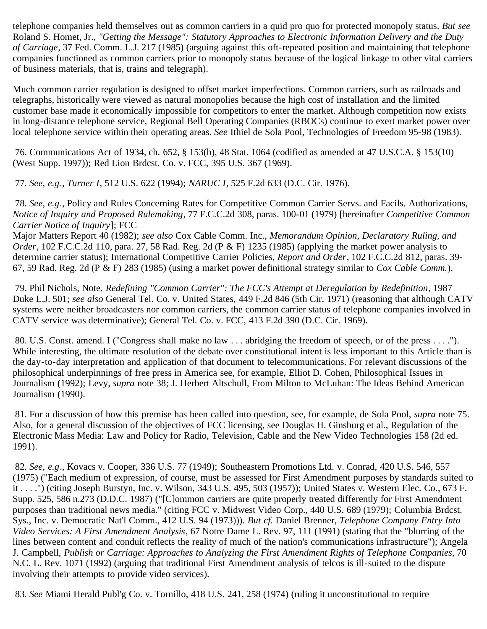telephone companies held themselves out as common carriers in a quid pro quo for protected monopoly status. *But see* Roland S. Homet, Jr., *"Getting the Message": Statutory Approaches to Electronic Information Delivery and the Duty of Carriage*, 37 Fed. Comm. L.J. 217 (1985) (arguing against this oft-repeated position and maintaining that telephone companies functioned as common carriers prior to monopoly status because of the logical linkage to other vital carriers of business materials, that is, trains and telegraph).

Much common carrier regulation is designed to offset market imperfections. Common carriers, such as railroads and telegraphs, historically were viewed as natural monopolies because the high cost of installation and the limited customer base made it economically impossible for competitors to enter the market. Although competition now exists in long-distance telephone service, Regional Bell Operating Companies (RBOCs) continue to exert market power over local telephone service within their operating areas. *See* Ithiel de Sola Pool, Technologies of Freedom 95-98 (1983).

<span id="page-16-0"></span> 76. Communications Act of 1934, ch. 652, § 153(h), 48 Stat. 1064 (codified as amended at 47 U.S.C.A. § 153(10) (West Supp. 1997)); Red Lion Brdcst. Co. v. FCC, 395 U.S. 367 (1969).

<span id="page-16-1"></span>77*. See, e.g.*, *Turner I*, 512 U.S. 622 (1994); *NARUC I*, 525 F.2d 633 (D.C. Cir. 1976).

<span id="page-16-2"></span>78*. See, e.g.*, Policy and Rules Concerning Rates for Competitive Common Carrier Servs. and Facils. Authorizations, *Notice of Inquiry and Proposed Rulemaking*, 77 F.C.C.2d 308, paras. 100-01 (1979) [hereinafter *Competitive Common Carrier Notice of Inquiry*]; FCC

Major Matters Report 40 (1982); *see also* Cox Cable Comm. Inc., *Memorandum Opinion, Declaratory Ruling, and Order*, 102 F.C.C.2d 110, para. 27, 58 Rad. Reg. 2d (P & F) 1235 (1985) (applying the market power analysis to determine carrier status); International Competitive Carrier Policies, *Report and Order*, 102 F.C.C.2d 812, paras. 39- 67, 59 Rad. Reg. 2d (P & F) 283 (1985) (using a market power definitional strategy similar to *Cox Cable Comm.*).

<span id="page-16-3"></span> 79. Phil Nichols, Note, *Redefining "Common Carrier": The FCC's Attempt at Deregulation by Redefinition*, 1987 Duke L.J. 501; *see also* General Tel. Co. v. United States, 449 F.2d 846 (5th Cir. 1971) (reasoning that although CATV systems were neither broadcasters nor common carriers, the common carrier status of telephone companies involved in CATV service was determinative); General Tel. Co. v. FCC, 413 F.2d 390 (D.C. Cir. 1969).

<span id="page-16-4"></span> 80. U.S. Const*.* amend. I ("Congress shall make no law . . . abridging the freedom of speech, or of the press . . . ."). While interesting, the ultimate resolution of the debate over constitutional intent is less important to this Article than is the day-to-day interpretation and application of that document to telecommunications. For relevant discussions of the philosophical underpinnings of free press in America see, for example, Elliot D. Cohen, Philosophical Issues in Journalism (1992); Levy, *supra* note 38; J. Herbert Altschull, From Milton to McLuhan: The Ideas Behind American Journalism (1990).

<span id="page-16-5"></span> 81. For a discussion of how this premise has been called into question, see, for example, de Sola Pool, *supra* note 75. Also, for a general discussion of the objectives of FCC licensing, see Douglas H. Ginsburg et al., Regulation of the Electronic Mass Media: Law and Policy for Radio, Television, Cable and the New Video Technologies 158 (2d ed. 1991).

<span id="page-16-6"></span>82*. See, e.g*., Kovacs v. Cooper, 336 U.S. 77 (1949); Southeastern Promotions Ltd. v. Conrad, 420 U.S. 546, 557 (1975) ("Each medium of expression, of course, must be assessed for First Amendment purposes by standards suited to it . . . .") (citing Joseph Burstyn, Inc. v. Wilson, 343 U.S. 495, 503 (1957)); United States v. Western Elec. Co*.*, 673 F. Supp. 525, 586 n.273 (D.D.C. 1987) ("[C]ommon carriers are quite properly treated differently for First Amendment purposes than traditional news media." (citing FCC v. Midwest Video Corp., 440 U.S. 689 (1979); Columbia Brdcst. Sys., Inc. v. Democratic Nat'l Comm., 412 U.S. 94 (1973))). *But cf.* Daniel Brenner, *Telephone Company Entry Into Video Services: A First Amendment Analysis*, 67 Notre Dame L. Rev*.* 97, 111 (1991) (stating that the "blurring of the lines between content and conduit reflects the reality of much of the nation's communications infrastructure"); Angela J. Campbell, *Publish or Carriage: Approaches to Analyzing the First Amendment Rights of Telephone Companies*, 70 N.C. L. Rev. 1071 (1992) (arguing that traditional First Amendment analysis of telcos is ill-suited to the dispute involving their attempts to provide video services).

<span id="page-16-7"></span>83*. See* Miami Herald Publ'g Co. v. Tornillo, 418 U.S. 241, 258 (1974) (ruling it unconstitutional to require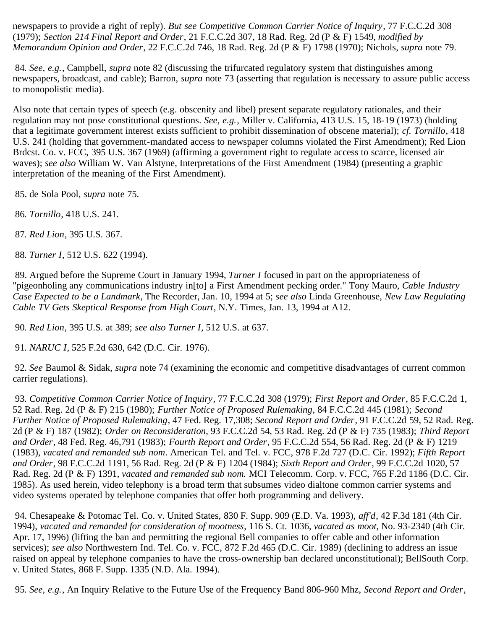newspapers to provide a right of reply). *But see Competitive Common Carrier Notice of Inquiry*, 77 F.C.C.2d 308 (1979); *Section 214 Final Report and Order*, 21 F.C.C.2d 307, 18 Rad. Reg. 2d (P & F) 1549, *modified by Memorandum Opinion and Order*, 22 F.C.C.2d 746, 18 Rad. Reg. 2d (P & F) 1798 (1970); Nichols, *supra* note 79.

<span id="page-17-0"></span>84*. See, e.g.*, Campbell, *supra* note 82 (discussing the trifurcated regulatory system that distinguishes among newspapers, broadcast, and cable); Barron, *supra* note 73 (asserting that regulation is necessary to assure public access to monopolistic media).

Also note that certain types of speech (e.g. obscenity and libel) present separate regulatory rationales, and their regulation may not pose constitutional questions. *See, e.g.*, Miller v. California, 413 U.S. 15, 18-19 (1973) (holding that a legitimate government interest exists sufficient to prohibit dissemination of obscene material); *cf. Tornillo*, 418 U.S. 241 (holding that government-mandated access to newspaper columns violated the First Amendment); Red Lion Brdcst. Co. v. FCC, 395 U.S. 367 (1969) (affirming a government right to regulate access to scarce, licensed air waves); *see also* William W. Van Alstyne, Interpretations of the First Amendment (1984) (presenting a graphic interpretation of the meaning of the First Amendment).

<span id="page-17-1"></span>85. de Sola Pool, *supra* note 75.

<span id="page-17-2"></span>86*. Tornillo*, 418 U.S. 241.

<span id="page-17-3"></span>87*. Red Lion*, 395 U.S. 367.

<span id="page-17-4"></span>88*. Turner I*, 512 U.S. 622 (1994).

<span id="page-17-5"></span> 89. Argued before the Supreme Court in January 1994, *Turner I* focused in part on the appropriateness of "pigeonholing any communications industry in[to] a First Amendment pecking order." Tony Mauro, *Cable Industry Case Expected to be a Landmark*, The Recorder, Jan. 10, 1994 at 5; *see also* Linda Greenhouse, *New Law Regulating Cable TV Gets Skeptical Response from High Court*, N.Y. Times, Jan. 13, 1994 at A12.

<span id="page-17-6"></span>90*. Red Lion*, 395 U.S. at 389; *see also Turner I*, 512 U.S. at 637.

<span id="page-17-7"></span>91*. NARUC I*, 525 F.2d 630, 642 (D.C. Cir. 1976).

<span id="page-17-8"></span>92*. See* Baumol & Sidak, *supra* note 74 (examining the economic and competitive disadvantages of current common carrier regulations).

<span id="page-17-9"></span>93*. Competitive Common Carrier Notice of Inquiry*, 77 F.C.C.2d 308 (1979); *First Report and Order*, 85 F.C.C.2d 1, 52 Rad. Reg. 2d (P & F) 215 (1980); *Further Notice of Proposed Rulemaking*, 84 F.C.C.2d 445 (1981); *Second Further Notice of Proposed Rulemaking*, 47 Fed. Reg. 17,308; *Second Report and Order*, 91 F.C.C.2d 59, 52 Rad. Reg. 2d (P & F) 187 (1982); *Order on Reconsideration*, 93 F.C.C.2d 54, 53 Rad. Reg. 2d (P & F) 735 (1983); *Third Report and Order*, 48 Fed. Reg. 46,791 (1983); *Fourth Report and Order*, 95 F.C.C.2d 554, 56 Rad. Reg. 2d (P & F) 1219 (1983), *vacated and remanded sub nom*. American Tel. and Tel. v. FCC, 978 F.2d 727 (D.C. Cir. 1992); *Fifth Report and Order*, 98 F.C.C.2d 1191, 56 Rad. Reg. 2d (P & F) 1204 (1984); *Sixth Report and Order*, 99 F.C.C.2d 1020, 57 Rad. Reg. 2d (P & F) 1391, *vacated and remanded sub nom.* MCI Telecomm. Corp. v. FCC, 765 F.2d 1186 (D.C. Cir. 1985). As used herein, video telephony is a broad term that subsumes video dialtone common carrier systems and video systems operated by telephone companies that offer both programming and delivery.

<span id="page-17-10"></span> 94. Chesapeake & Potomac Tel. Co. v. United States, 830 F. Supp. 909 (E.D. Va. 1993), *aff'd*, 42 F.3d 181 (4th Cir. 1994), *vacated and remanded for consideration of mootness*, 116 S. Ct. 1036, *vacated as moot*, No. 93-2340 (4th Cir. Apr. 17, 1996) (lifting the ban and permitting the regional Bell companies to offer cable and other information services); *see also* Northwestern Ind. Tel. Co. v. FCC, 872 F.2d 465 (D.C. Cir. 1989) (declining to address an issue raised on appeal by telephone companies to have the cross-ownership ban declared unconstitutional); BellSouth Corp. v. United States, 868 F. Supp. 1335 (N.D. Ala. 1994).

<span id="page-17-11"></span>95*. See, e.g.*, An Inquiry Relative to the Future Use of the Frequency Band 806-960 Mhz, *Second Report and Order*,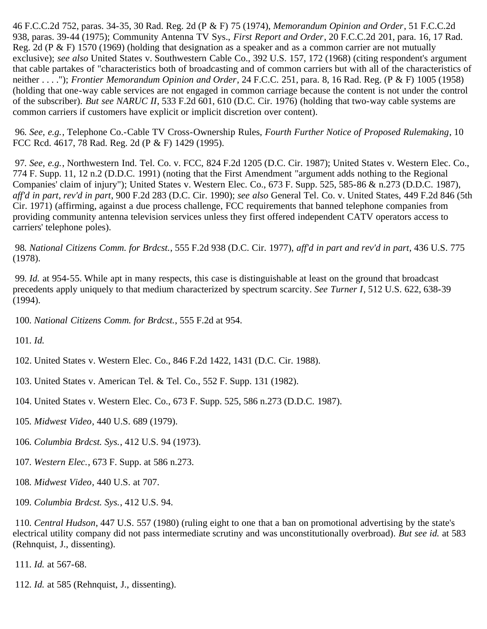46 F.C.C.2d 752, paras. 34-35, 30 Rad. Reg. 2d (P & F) 75 (1974), *Memorandum Opinion and Order*, 51 F.C.C.2d 938, paras. 39-44 (1975); Community Antenna TV Sys., *First Report and Order*, 20 F.C.C.2d 201, para. 16, 17 Rad. Reg. 2d (P & F) 1570 (1969) (holding that designation as a speaker and as a common carrier are not mutually exclusive); *see also* United States v. Southwestern Cable Co., 392 U.S. 157, 172 (1968) (citing respondent's argument that cable partakes of "characteristics both of broadcasting and of common carriers but with all of the characteristics of neither . . . ."); *Frontier Memorandum Opinion and Order*, 24 F.C.C. 251, para. 8, 16 Rad. Reg. (P & F) 1005 (1958) (holding that one-way cable services are not engaged in common carriage because the content is not under the control of the subscriber). *But see NARUC II*, 533 F.2d 601, 610 (D.C. Cir. 1976) (holding that two-way cable systems are common carriers if customers have explicit or implicit discretion over content).

<span id="page-18-0"></span>96*. See, e.g.*, Telephone Co.-Cable TV Cross-Ownership Rules, *Fourth Further Notice of Proposed Rulemaking*, 10 FCC Rcd. 4617, 78 Rad. Reg. 2d (P & F) 1429 (1995).

<span id="page-18-1"></span>97*. See, e.g.*, Northwestern Ind. Tel. Co. v. FCC, 824 F.2d 1205 (D.C. Cir. 1987); United States v. Western Elec. Co., 774 F. Supp. 11, 12 n.2 (D.D.C. 1991) (noting that the First Amendment "argument adds nothing to the Regional Companies' claim of injury"); United States v. Western Elec. Co., 673 F. Supp. 525, 585-86 & n.273 (D.D.C. 1987), *aff'd in part*, *rev'd in part*, 900 F.2d 283 (D.C. Cir. 1990); *see also* General Tel. Co. v. United States, 449 F.2d 846 (5th Cir. 1971) (affirming, against a due process challenge, FCC requirements that banned telephone companies from providing community antenna television services unless they first offered independent CATV operators access to carriers' telephone poles).

<span id="page-18-2"></span>98*. National Citizens Comm. for Brdcst.*, 555 F.2d 938 (D.C. Cir. 1977), *aff'd in part and rev'd in part*, 436 U.S. 775 (1978).

<span id="page-18-3"></span>99*. Id.* at 954-55. While apt in many respects, this case is distinguishable at least on the ground that broadcast precedents apply uniquely to that medium characterized by spectrum scarcity. *See Turner I*, 512 U.S. 622, 638-39 (1994).

<span id="page-18-4"></span>100*. National Citizens Comm. for Brdcst.*, 555 F.2d at 954.

<span id="page-18-5"></span>101*. Id.*

<span id="page-18-6"></span>102. United States v. Western Elec. Co., 846 F.2d 1422, 1431 (D.C. Cir. 1988).

<span id="page-18-7"></span>103. United States v. American Tel. & Tel. Co., 552 F. Supp. 131 (1982).

<span id="page-18-8"></span>104. United States v. Western Elec. Co., 673 F. Supp. 525, 586 n.273 (D.D.C. 1987).

- <span id="page-18-9"></span>105*. Midwest Video*, 440 U.S. 689 (1979).
- <span id="page-18-10"></span>106*. Columbia Brdcst. Sys.*, 412 U.S. 94 (1973).
- <span id="page-18-11"></span>107*. Western Elec.*, 673 F. Supp. at 586 n.273.
- <span id="page-18-12"></span>108*. Midwest Video*, 440 U.S. at 707.
- <span id="page-18-13"></span>109*. Columbia Brdcst. Sys.*, 412 U.S. 94.

<span id="page-18-14"></span>110*. Central Hudson*, 447 U.S. 557 (1980) (ruling eight to one that a ban on promotional advertising by the state's electrical utility company did not pass intermediate scrutiny and was unconstitutionally overbroad). *But see id.* at 583 (Rehnquist, J., dissenting).

<span id="page-18-15"></span>111*. Id.* at 567-68.

<span id="page-18-16"></span>112*. Id.* at 585 (Rehnquist, J., dissenting).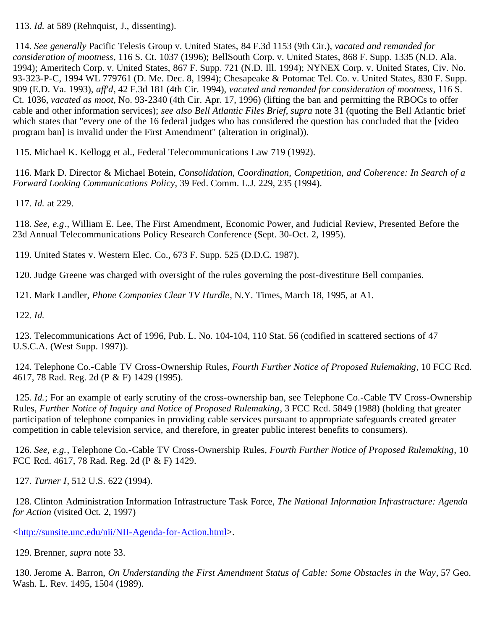<span id="page-19-0"></span>113*. Id.* at 589 (Rehnquist, J., dissenting).

<span id="page-19-1"></span>114*. See generally* Pacific Telesis Group v. United States, 84 F.3d 1153 (9th Cir.), *vacated and remanded for consideration of mootness*, 116 S. Ct. 1037 (1996); BellSouth Corp. v. United States, 868 F. Supp. 1335 (N.D. Ala. 1994); Ameritech Corp. v. United States, 867 F. Supp. 721 (N.D. Ill. 1994); NYNEX Corp. v. United States, Civ. No. 93-323-P-C, 1994 WL 779761 (D. Me. Dec. 8, 1994); Chesapeake & Potomac Tel. Co. v. United States, 830 F. Supp. 909 (E.D. Va. 1993), *aff'd*, 42 F.3d 181 (4th Cir. 1994), *vacated and remanded for consideration of mootness*, 116 S. Ct. 1036, *vacated as moot*, No. 93-2340 (4th Cir. Apr. 17, 1996) (lifting the ban and permitting the RBOCs to offer cable and other information services); *see also Bell Atlantic Files Brief*, *supra* note 31 (quoting the Bell Atlantic brief which states that "every one of the 16 federal judges who has considered the question has concluded that the [video program ban] is invalid under the First Amendment" (alteration in original)).

<span id="page-19-2"></span>115. Michael K. Kellogg et al., Federal Telecommunications Law 719 (1992).

<span id="page-19-3"></span> 116. Mark D. Director & Michael Botein, *Consolidation, Coordination, Competition, and Coherence: In Search of a Forward Looking Communications Policy*, 39 Fed. Comm. L.J. 229, 235 (1994).

<span id="page-19-4"></span>117*. Id.* at 229.

<span id="page-19-5"></span>118*. See, e.g*., William E. Lee, The First Amendment, Economic Power, and Judicial Review, Presented Before the 23d Annual Telecommunications Policy Research Conference (Sept. 30-Oct. 2, 1995).

<span id="page-19-6"></span>119. United States v. Western Elec. Co., 673 F. Supp. 525 (D.D.C. 1987).

<span id="page-19-7"></span>120. Judge Greene was charged with oversight of the rules governing the post-divestiture Bell companies.

<span id="page-19-8"></span>121. Mark Landler, *Phone Companies Clear TV Hurdle*, N.Y. Times, March 18, 1995, at A1.

<span id="page-19-9"></span>122*. Id.*

<span id="page-19-10"></span> 123. Telecommunications Act of 1996, Pub. L. No. 104-104, 110 Stat. 56 (codified in scattered sections of 47 U.S.C.A. (West Supp. 1997)).

<span id="page-19-11"></span> 124. Telephone Co.-Cable TV Cross-Ownership Rules, *Fourth Further Notice of Proposed Rulemaking*, 10 FCC Rcd. 4617, 78 Rad. Reg. 2d (P & F) 1429 (1995).

<span id="page-19-12"></span>125*. Id.*; For an example of early scrutiny of the cross-ownership ban, see Telephone Co.-Cable TV Cross-Ownership Rules, *Further Notice of Inquiry and Notice of Proposed Rulemaking*, 3 FCC Rcd. 5849 (1988) (holding that greater participation of telephone companies in providing cable services pursuant to appropriate safeguards created greater competition in cable television service, and therefore, in greater public interest benefits to consumers).

<span id="page-19-13"></span>126*. See, e.g.*, Telephone Co.-Cable TV Cross-Ownership Rules, *Fourth Further Notice of Proposed Rulemaking*, 10 FCC Rcd. 4617, 78 Rad. Reg. 2d (P & F) 1429.

<span id="page-19-14"></span>127*. Turner I*, 512 U.S. 622 (1994).

 128. Clinton Administration Information Infrastructure Task Force, *The National Information Infrastructure: Agenda for Action* (visited Oct. 2, 1997)

<[http://sunsite.unc.edu/nii/NII-Agenda-for-Action.html>](http://sunsite.unc.edu/nii/NII-Agenda-for-Action.html).

<span id="page-19-15"></span>129. Brenner, *supra* note 33.

<span id="page-19-16"></span> 130. Jerome A. Barron, *On Understanding the First Amendment Status of Cable: Some Obstacles in the Way*, 57 Geo. Wash. L. Rev. 1495, 1504 (1989).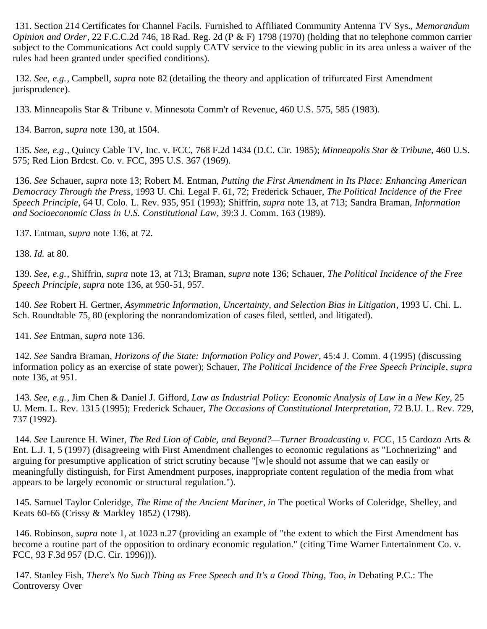<span id="page-20-0"></span> 131. Section 214 Certificates for Channel Facils. Furnished to Affiliated Community Antenna TV Sys., *Memorandum Opinion and Order*, 22 F.C.C.2d 746, 18 Rad. Reg. 2d (P & F) 1798 (1970) (holding that no telephone common carrier subject to the Communications Act could supply CATV service to the viewing public in its area unless a waiver of the rules had been granted under specified conditions).

<span id="page-20-1"></span>132*. See, e.g.*, Campbell, *supra* note 82 (detailing the theory and application of trifurcated First Amendment jurisprudence).

<span id="page-20-2"></span>133. Minneapolis Star & Tribune v. Minnesota Comm'r of Revenue, 460 U.S. 575, 585 (1983).

<span id="page-20-3"></span>134. Barron, *supra* note 130, at 1504.

<span id="page-20-4"></span>135*. See, e.g*., Quincy Cable TV, Inc. v. FCC, 768 F.2d 1434 (D.C. Cir. 1985); *Minneapolis Star & Tribune*, 460 U.S. 575; Red Lion Brdcst. Co. v. FCC, 395 U.S. 367 (1969).

<span id="page-20-5"></span> 136. *See* Schauer, *supra* note 13; Robert M. Entman, *Putting the First Amendment in Its Place: Enhancing American Democracy Through the Press*, 1993 U. Chi. Legal F. 61, 72; Frederick Schauer, *The Political Incidence of the Free Speech Principle*, 64 U. Colo. L. Rev. 935, 951 (1993); Shiffrin, *supra* note 13, at 713; Sandra Braman, *Information and Socioeconomic Class in U.S. Constitutional Law*, 39:3 J. Comm. 163 (1989).

<span id="page-20-6"></span>137. Entman, *supra* note 136, at 72.

<span id="page-20-7"></span>138*. Id.* at 80.

<span id="page-20-8"></span>139*. See, e.g.*, Shiffrin, *supra* note 13, at 713; Braman, *supra* note 136; Schauer, *The Political Incidence of the Free Speech Principle*, *supra* note 136, at 950-51, 957.

<span id="page-20-9"></span>140*. See* Robert H. Gertner, *Asymmetric Information, Uncertainty, and Selection Bias in Litigation*, 1993 U. Chi. L. Sch. Roundtable 75, 80 (exploring the nonrandomization of cases filed, settled, and litigated).

<span id="page-20-10"></span>141*. See* Entman, *supra* note 136.

<span id="page-20-11"></span>142*. See* Sandra Braman, *Horizons of the State: Information Policy and Power*, 45:4 J. Comm. 4 (1995) (discussing information policy as an exercise of state power); Schauer, *The Political Incidence of the Free Speech Principle*, *supra* note 136, at 951.

<span id="page-20-12"></span>143*. See, e.g.*, Jim Chen & Daniel J. Gifford, *Law as Industrial Policy: Economic Analysis of Law in a New Key*, 25 U. Mem. L. Rev. 1315 (1995); Frederick Schauer, *The Occasions of Constitutional Interpretation*, 72 B.U. L. Rev. 729, 737 (1992).

<span id="page-20-13"></span>144*. See* Laurence H. Winer, *The Red Lion of Cable, and Beyond?—Turner Broadcasting v. FCC*, 15 Cardozo Arts & Ent. L.J. 1, 5 (1997) (disagreeing with First Amendment challenges to economic regulations as "Lochnerizing" and arguing for presumptive application of strict scrutiny because "[w]e should not assume that we can easily or meaningfully distinguish, for First Amendment purposes, inappropriate content regulation of the media from what appears to be largely economic or structural regulation.").

<span id="page-20-14"></span> 145. Samuel Taylor Coleridge, *The Rime of the Ancient Mariner*, *in* The poetical Works of Coleridge, Shelley, and Keats 60-66 (Crissy & Markley 1852) (1798).

<span id="page-20-15"></span> 146. Robinson, *supra* note 1, at 1023 n.27 (providing an example of "the extent to which the First Amendment has become a routine part of the opposition to ordinary economic regulation." (citing Time Warner Entertainment Co. v. FCC, 93 F.3d 957 (D.C. Cir. 1996))).

<span id="page-20-16"></span> 147. Stanley Fish, *There's No Such Thing as Free Speech and It's a Good Thing, Too*, *in* Debating P.C.: The Controversy Over